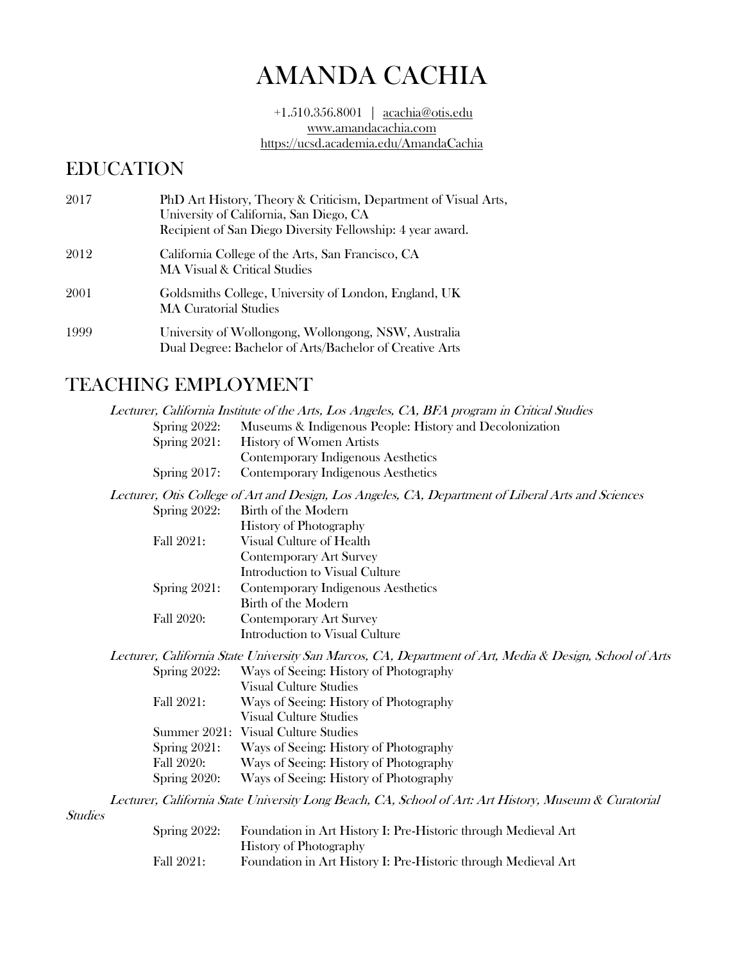# AMANDA CACHIA

+1.510.356.8001 | acachia@otis.edu [www.amandacachia.com](http://www.amandacachia.com/) https://ucsd.academia.edu/AmandaCachia

## EDUCATION

| 2017 | PhD Art History, Theory & Criticism, Department of Visual Arts,<br>University of California, San Diego, CA<br>Recipient of San Diego Diversity Fellowship: 4 year award. |
|------|--------------------------------------------------------------------------------------------------------------------------------------------------------------------------|
| 2012 | California College of the Arts, San Francisco, CA<br>MA Visual & Critical Studies                                                                                        |
| 2001 | Goldsmiths College, University of London, England, UK<br><b>MA Curatorial Studies</b>                                                                                    |
| 1999 | University of Wollongong, Wollongong, NSW, Australia<br>Dual Degree: Bachelor of Arts/Bachelor of Creative Arts                                                          |

## TEACHING EMPLOYMENT

|                |                 | Lecturer, California Institute of the Arts, Los Angeles, CA, BFA program in Critical Studies            |
|----------------|-----------------|---------------------------------------------------------------------------------------------------------|
|                | Spring $2022$ : | Museums & Indigenous People: History and Decolonization                                                 |
|                | Spring $2021$ : | History of Women Artists                                                                                |
|                |                 | Contemporary Indigenous Aesthetics                                                                      |
|                | Spring $2017$ : | Contemporary Indigenous Aesthetics                                                                      |
|                |                 | Lecturer, Otis College of Art and Design, Los Angeles, CA, Department of Liberal Arts and Sciences      |
|                | Spring $2022$ : | Birth of the Modern                                                                                     |
|                |                 | <b>History of Photography</b>                                                                           |
|                | Fall 2021:      | Visual Culture of Health                                                                                |
|                |                 | <b>Contemporary Art Survey</b>                                                                          |
|                |                 | Introduction to Visual Culture                                                                          |
|                | Spring $2021$ : | Contemporary Indigenous Aesthetics                                                                      |
|                |                 | Birth of the Modern                                                                                     |
|                | Fall 2020:      | <b>Contemporary Art Survey</b>                                                                          |
|                |                 | Introduction to Visual Culture                                                                          |
|                |                 | Lecturer, California State University San Marcos, CA, Department of Art, Media & Design, School of Arts |
|                | Spring $2022$ : | Ways of Seeing: History of Photography                                                                  |
|                |                 | <b>Visual Culture Studies</b>                                                                           |
|                | Fall 2021:      | Ways of Seeing: History of Photography                                                                  |
|                |                 | <b>Visual Culture Studies</b>                                                                           |
|                |                 | Summer 2021: Visual Culture Studies                                                                     |
|                | Spring $2021$ : | Ways of Seeing: History of Photography                                                                  |
|                | Fall 2020:      | Ways of Seeing: History of Photography                                                                  |
|                | Spring $2020$ : | Ways of Seeing: History of Photography                                                                  |
|                |                 | Lecturer, California State University Long Beach, CA, School of Art: Art History, Museum & Curatorial   |
| <b>Studies</b> |                 |                                                                                                         |

| Spring $2022$ : | Foundation in Art History I: Pre-Historic through Medieval Art |
|-----------------|----------------------------------------------------------------|
|                 | <b>History of Photography</b>                                  |
| Fall 2021:      | Foundation in Art History I: Pre-Historic through Medieval Art |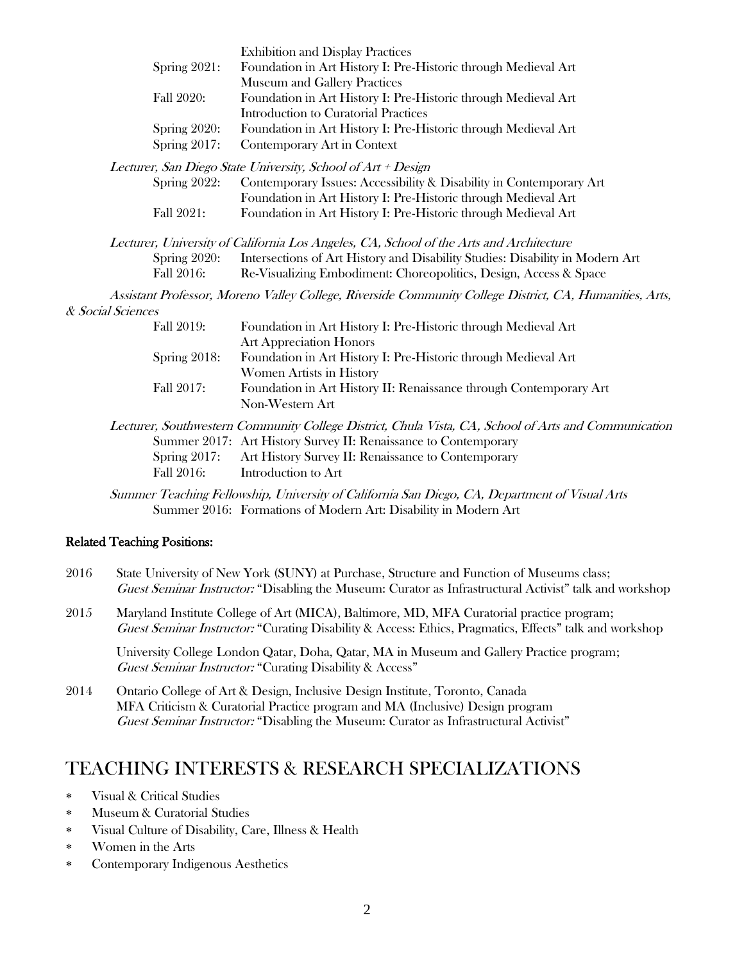|      |                                    | <b>Exhibition and Display Practices</b>                                                                                                                                                              |
|------|------------------------------------|------------------------------------------------------------------------------------------------------------------------------------------------------------------------------------------------------|
|      | Spring 2021:                       | Foundation in Art History I: Pre-Historic through Medieval Art                                                                                                                                       |
|      |                                    | Museum and Gallery Practices                                                                                                                                                                         |
|      | Fall 2020:                         | Foundation in Art History I: Pre-Historic through Medieval Art<br><b>Introduction to Curatorial Practices</b>                                                                                        |
|      | Spring 2020:                       | Foundation in Art History I: Pre-Historic through Medieval Art                                                                                                                                       |
|      | Spring 2017:                       | Contemporary Art in Context                                                                                                                                                                          |
|      |                                    | Lecturer, San Diego State University, School of Art + Design                                                                                                                                         |
|      | Spring 2022:                       | Contemporary Issues: Accessibility & Disability in Contemporary Art                                                                                                                                  |
|      |                                    | Foundation in Art History I: Pre-Historic through Medieval Art                                                                                                                                       |
|      | Fall 2021:                         | Foundation in Art History I: Pre-Historic through Medieval Art                                                                                                                                       |
|      |                                    | Lecturer, University of California Los Angeles, CA, School of the Arts and Architecture                                                                                                              |
|      | Spring 2020:                       | Intersections of Art History and Disability Studies: Disability in Modern Art                                                                                                                        |
|      | Fall 2016:                         | Re-Visualizing Embodiment: Choreopolitics, Design, Access & Space                                                                                                                                    |
|      |                                    |                                                                                                                                                                                                      |
|      |                                    | Assistant Professor, Moreno Valley College, Riverside Community College District, CA, Humanities, Arts,                                                                                              |
|      | & Social Sciences                  |                                                                                                                                                                                                      |
|      | Fall 2019:                         | Foundation in Art History I: Pre-Historic through Medieval Art                                                                                                                                       |
|      |                                    | <b>Art Appreciation Honors</b>                                                                                                                                                                       |
|      | Spring 2018:                       | Foundation in Art History I: Pre-Historic through Medieval Art                                                                                                                                       |
|      |                                    | Women Artists in History                                                                                                                                                                             |
|      | Fall 2017:                         | Foundation in Art History II: Renaissance through Contemporary Art<br>Non-Western Art                                                                                                                |
|      |                                    | Lecturer, Southwestern Community College District, Chula Vista, CA, School of Arts and Communication                                                                                                 |
|      |                                    | Summer 2017: Art History Survey II: Renaissance to Contemporary                                                                                                                                      |
|      | Spring 2017:                       | Art History Survey II: Renaissance to Contemporary                                                                                                                                                   |
|      | Fall 2016:                         | Introduction to Art                                                                                                                                                                                  |
|      |                                    | Summer Teaching Fellowship, University of California San Diego, CA, Department of Visual Arts                                                                                                        |
|      |                                    | Summer 2016: Formations of Modern Art: Disability in Modern Art                                                                                                                                      |
|      | <b>Related Teaching Positions:</b> |                                                                                                                                                                                                      |
| 2016 |                                    | State University of New York (SUNY) at Purchase, Structure and Function of Museums class;                                                                                                            |
|      |                                    | Guest Seminar Instructor: "Disabling the Museum: Curator as Infrastructural Activist" talk and workshop                                                                                              |
| 2015 |                                    | Maryland Institute College of Art (MICA), Baltimore, MD, MFA Curatorial practice program;<br>Guest Seminar Instructor: "Curating Disability & Access: Ethics, Pragmatics, Effects" talk and workshop |

University College London Qatar, Doha, Qatar, MA in Museum and Gallery Practice program; Guest Seminar Instructor: "Curating Disability & Access"

2014 Ontario College of Art & Design, Inclusive Design Institute, Toronto, Canada MFA Criticism & Curatorial Practice program and MA (Inclusive) Design program Guest Seminar Instructor: "Disabling the Museum: Curator as Infrastructural Activist"

## TEACHING INTERESTS & RESEARCH SPECIALIZATIONS

- Visual & Critical Studies
- Museum & Curatorial Studies
- Visual Culture of Disability, Care, Illness & Health
- Women in the Arts
- Contemporary Indigenous Aesthetics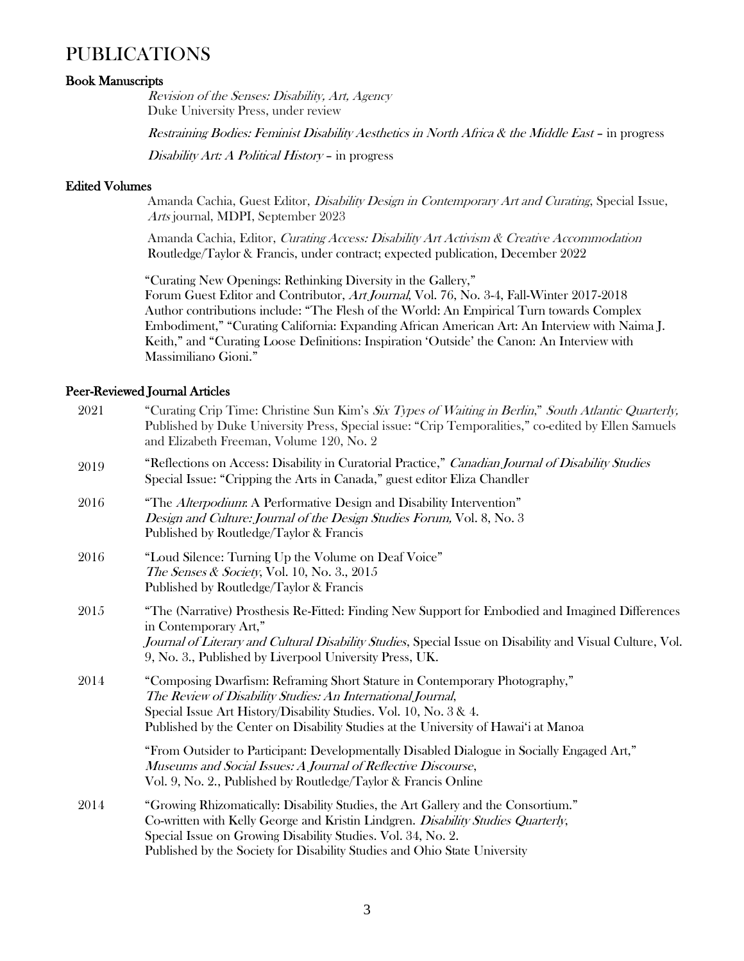## PUBLICATIONS

### Book Manuscripts

Revision of the Senses: Disability, Art, Agency Duke University Press, under review

Restraining Bodies: Feminist Disability Aesthetics in North Africa & the Middle East – in progress

Disability Art: A Political History – in progress

#### Edited Volumes

Amanda Cachia, Guest Editor, Disability Design in Contemporary Art and Curating, Special Issue, Arts journal, MDPI, September 2023

Amanda Cachia, Editor, Curating Access: Disability Art Activism & Creative Accommodation Routledge/Taylor & Francis, under contract; expected publication, December 2022

"Curating New Openings: Rethinking Diversity in the Gallery," Forum Guest Editor and Contributor, Art Journal, Vol. 76, No. 3-4, Fall-Winter 2017-2018 Author contributions include: "The Flesh of the World: An Empirical Turn towards Complex Embodiment," "Curating California: Expanding African American Art: An Interview with Naima J. Keith," and "Curating Loose Definitions: Inspiration 'Outside' the Canon: An Interview with Massimiliano Gioni."

#### Peer-Reviewed Journal Articles

| 2021 | "Curating Crip Time: Christine Sun Kim's Six Types of Waiting in Berlin," South Atlantic Quarterly,<br>Published by Duke University Press, Special issue: "Crip Temporalities," co-edited by Ellen Samuels<br>and Elizabeth Freeman, Volume 120, No. 2                                                             |
|------|--------------------------------------------------------------------------------------------------------------------------------------------------------------------------------------------------------------------------------------------------------------------------------------------------------------------|
| 2019 | "Reflections on Access: Disability in Curatorial Practice," Canadian Journal of Disability Studies<br>Special Issue: "Cripping the Arts in Canada," guest editor Eliza Chandler                                                                                                                                    |
| 2016 | "The Alterpodium: A Performative Design and Disability Intervention"<br>Design and Culture: Journal of the Design Studies Forum, Vol. 8, No. 3<br>Published by Routledge/Taylor & Francis                                                                                                                          |
| 2016 | "Loud Silence: Turning Up the Volume on Deaf Voice"<br><i>The Senses &amp; Society</i> , Vol. 10, No. 3., 2015<br>Published by Routledge/Taylor & Francis                                                                                                                                                          |
| 2015 | "The (Narrative) Prosthesis Re-Fitted: Finding New Support for Embodied and Imagined Differences<br>in Contemporary Art,"<br>Journal of Literary and Cultural Disability Studies, Special Issue on Disability and Visual Culture, Vol.<br>9, No. 3., Published by Liverpool University Press, UK.                  |
| 2014 | "Composing Dwarfism: Reframing Short Stature in Contemporary Photography,"<br>The Review of Disability Studies: An International Journal,<br>Special Issue Art History/Disability Studies. Vol. 10, No. 3 & 4.<br>Published by the Center on Disability Studies at the University of Hawai'i at Manoa              |
|      | "From Outsider to Participant: Developmentally Disabled Dialogue in Socially Engaged Art,"<br>Museums and Social Issues: A Journal of Reflective Discourse,<br>Vol. 9, No. 2., Published by Routledge/Taylor & Francis Online                                                                                      |
| 2014 | "Growing Rhizomatically: Disability Studies, the Art Gallery and the Consortium."<br>Co-written with Kelly George and Kristin Lindgren. Disability Studies Quarterly,<br>Special Issue on Growing Disability Studies. Vol. 34, No. 2.<br>Published by the Society for Disability Studies and Ohio State University |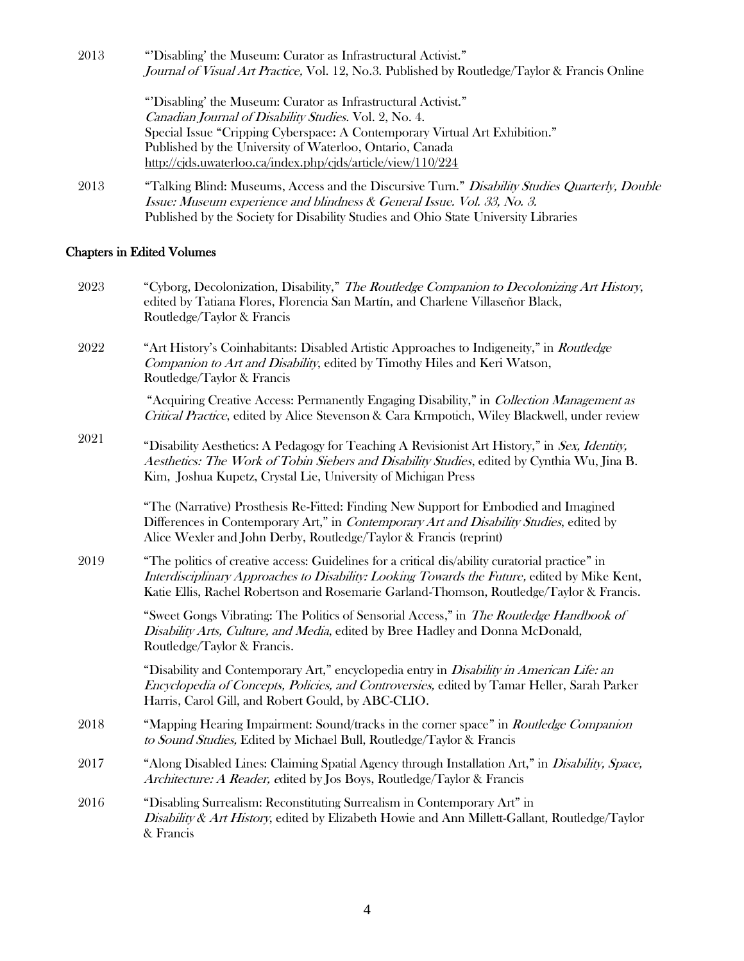| 2013 | "Disabling' the Museum: Curator as Infrastructural Activist."                                  |  |
|------|------------------------------------------------------------------------------------------------|--|
|      | Journal of Visual Art Practice, Vol. 12, No.3. Published by Routledge/Taylor & Francis Online  |  |
|      | "Disabling' the Museum: Curator as Infrastructural Activist."                                  |  |
|      | <i>Canadian Journal of Disability Studies.</i> Vol. 2, No. 4.                                  |  |
|      | Special Issue "Cripping Cyberspace: A Contemporary Virtual Art Exhibition."                    |  |
|      | Published by the University of Waterloo, Ontario, Canada                                       |  |
|      | http://cjds.uwaterloo.ca/index.php/cjds/article/view/110/224                                   |  |
| 2013 | "Talking Blind: Museums, Access and the Discursive Turn." Disability Studies Quarterly, Double |  |
|      | Issue: Museum experience and blindness & General Issue. Vol. 33, No. 3.                        |  |
|      | Published by the Society for Disability Studies and Ohio State University Libraries            |  |

### Chapters in Edited Volumes

| 2023 | "Cyborg, Decolonization, Disability," The Routledge Companion to Decolonizing Art History,<br>edited by Tatiana Flores, Florencia San Martín, and Charlene Villaseñor Black,<br>Routledge/Taylor & Francis                                                                                  |
|------|---------------------------------------------------------------------------------------------------------------------------------------------------------------------------------------------------------------------------------------------------------------------------------------------|
| 2022 | "Art History's Coinhabitants: Disabled Artistic Approaches to Indigeneity," in Routledge<br>Companion to Art and Disability, edited by Timothy Hiles and Keri Watson,<br>Routledge/Taylor & Francis                                                                                         |
|      | "Acquiring Creative Access: Permanently Engaging Disability," in Collection Management as<br>Critical Practice, edited by Alice Stevenson & Cara Krmpotich, Wiley Blackwell, under review                                                                                                   |
| 2021 | "Disability Aesthetics: A Pedagogy for Teaching A Revisionist Art History," in Sex, Identity,<br>Aesthetics: The Work of Tobin Siebers and Disability Studies, edited by Cynthia Wu, Jina B.<br>Kim, Joshua Kupetz, Crystal Lie, University of Michigan Press                               |
|      | "The (Narrative) Prosthesis Re-Fitted: Finding New Support for Embodied and Imagined<br>Differences in Contemporary Art," in Contemporary Art and Disability Studies, edited by<br>Alice Wexler and John Derby, Routledge/Taylor & Francis (reprint)                                        |
| 2019 | "The politics of creative access: Guidelines for a critical dis/ability curatorial practice" in<br>Interdisciplinary Approaches to Disability: Looking Towards the Future, edited by Mike Kent,<br>Katie Ellis, Rachel Robertson and Rosemarie Garland-Thomson, Routledge/Taylor & Francis. |
|      | "Sweet Gongs Vibrating: The Politics of Sensorial Access," in The Routledge Handbook of<br>Disability Arts, Culture, and Media, edited by Bree Hadley and Donna McDonald,<br>Routledge/Taylor & Francis.                                                                                    |
|      | "Disability and Contemporary Art," encyclopedia entry in <i>Disability in American Life: an</i><br>Encyclopedia of Concepts, Policies, and Controversies, edited by Tamar Heller, Sarah Parker<br>Harris, Carol Gill, and Robert Gould, by ABC-CLIO.                                        |
| 2018 | "Mapping Hearing Impairment: Sound/tracks in the corner space" in Routledge Companion<br>to Sound Studies, Edited by Michael Bull, Routledge/Taylor & Francis                                                                                                                               |
| 2017 | "Along Disabled Lines: Claiming Spatial Agency through Installation Art," in Disability, Space,<br>Architecture: A Reader, edited by Jos Boys, Routledge/Taylor & Francis                                                                                                                   |
| 2016 | "Disabling Surrealism: Reconstituting Surrealism in Contemporary Art" in<br>Disability & Art History, edited by Elizabeth Howie and Ann Millett-Gallant, Routledge/Taylor<br>& Francis                                                                                                      |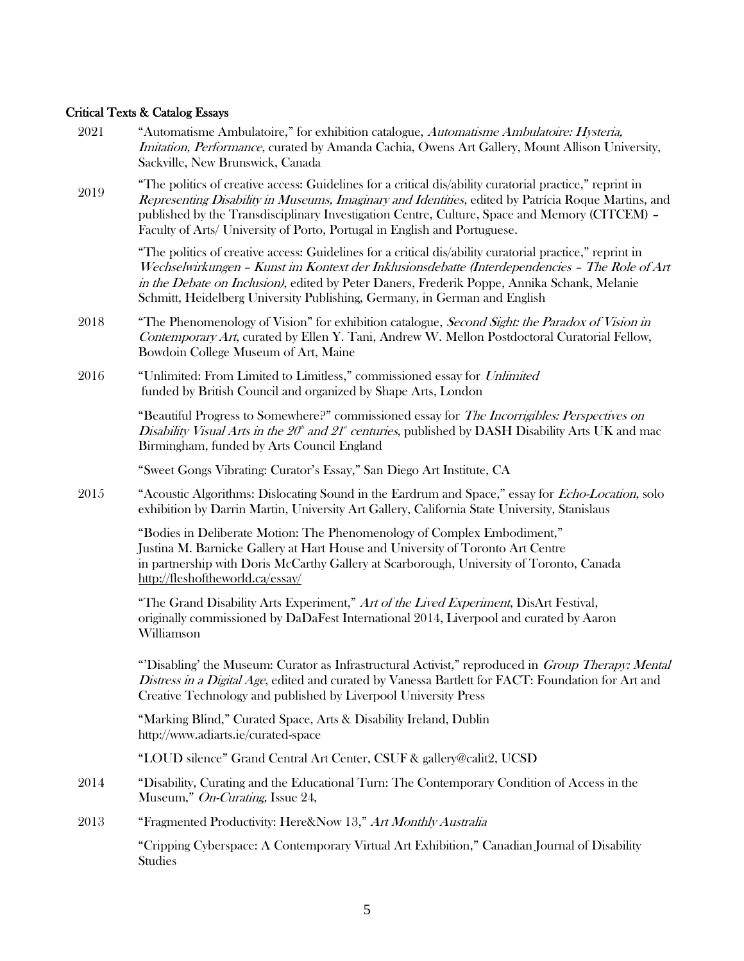### Critical Texts & Catalog Essays

- 2021 "Automatisme Ambulatoire," for exhibition catalogue, Automatisme Ambulatoire: Hysteria, Imitation, Performance, curated by Amanda Cachia, Owens Art Gallery, Mount Allison University, Sackville, New Brunswick, Canada
- 2019 "The politics of creative access: Guidelines for a critical dis/ability curatorial practice," reprint in Representing Disability in Museums, Imaginary and Identities, edited by Patrícia Roque Martins, and published by the Transdisciplinary Investigation Centre, Culture, Space and Memory (CITCEM) – Faculty of Arts/ University of Porto, Portugal in English and Portuguese.

"The politics of creative access: Guidelines for a critical dis/ability curatorial practice," reprint in Wechselwirkungen – Kunst im Kontext der Inklusionsdebatte (Interdependencies – The Role of Art in the Debate on Inclusion), edited by Peter Daners, Frederik Poppe, Annika Schank, Melanie Schmitt, Heidelberg University Publishing, Germany, in German and English

- 2018 "The Phenomenology of Vision" for exhibition catalogue, *Second Sight: the Paradox of Vision in* Contemporary Art, curated by Ellen Y. Tani, Andrew W. Mellon Postdoctoral Curatorial Fellow, Bowdoin College Museum of Art, Maine
- 2016 "Unlimited: From Limited to Limitless," commissioned essay for Unlimited funded by British Council and organized by Shape Arts, London

"Beautiful Progress to Somewhere?" commissioned essay for *The Incorrigibles: Perspectives on* Disability Visual Arts in the  $20^{\circ}$  and  $21^{\circ}$  centuries, published by DASH Disability Arts UK and mac Birmingham, funded by Arts Council England

"Sweet Gongs Vibrating: Curator's Essay," San Diego Art Institute, CA

2015 "Acoustic Algorithms: Dislocating Sound in the Eardrum and Space," essay for *Echo-Location*, solo exhibition by Darrin Martin, University Art Gallery, California State University, Stanislaus

 "Bodies in Deliberate Motion: The Phenomenology of Complex Embodiment," Justina M. Barnicke Gallery at Hart House and University of Toronto Art Centre in partnership with Doris McCarthy Gallery at Scarborough, University of Toronto, Canada <http://fleshoftheworld.ca/essay/>

 "The Grand Disability Arts Experiment," Art of the Lived Experiment, DisArt Festival, originally commissioned by DaDaFest International 2014, Liverpool and curated by Aaron Williamson

"Disabling' the Museum: Curator as Infrastructural Activist," reproduced in *Group Therapy: Mental* Distress in a Digital Age, edited and curated by Vanessa Bartlett for FACT: Foundation for Art and Creative Technology and published by Liverpool University Press

 "Marking Blind," Curated Space, Arts & Disability Ireland, Dublin <http://www.adiarts.ie/curated-space>

"LOUD silence" Grand Central Art Center, CSUF & gallery@calit2, UCSD

- 2014 "Disability, Curating and the Educational Turn: The Contemporary Condition of Access in the Museum," On-Curating, Issue 24,
- 2013 "Fragmented Productivity: Here&Now 13," Art Monthly Australia

"Cripping Cyberspace: A Contemporary Virtual Art Exhibition," Canadian Journal of Disability Studies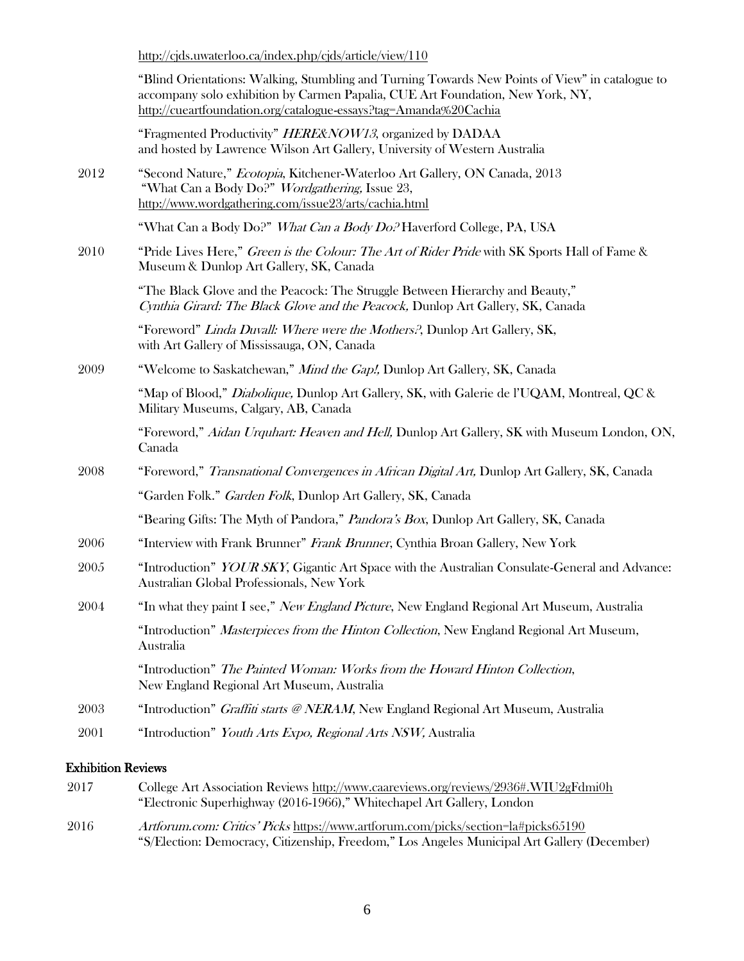<http://cjds.uwaterloo.ca/index.php/cjds/article/view/110>

| "Blind Orientations: Walking, Stumbling and Turning Towards New Points of View" in catalogue to |
|-------------------------------------------------------------------------------------------------|
| accompany solo exhibition by Carmen Papalia, CUE Art Foundation, New York, NY,                  |
| http://cueartfoundation.org/catalogue-essays?tag=Amanda%20Cachia                                |

"Fragmented Productivity" *HERE&NOW13*, organized by DADAA and hosted by Lawrence Wilson Art Gallery, University of Western Australia

2012 "Second Nature," Ecotopia, Kitchener-Waterloo Art Gallery, ON Canada, 2013 "What Can a Body Do?" Wordgathering, Issue 23, <http://www.wordgathering.com/issue23/arts/cachia.html>

"What Can a Body Do?" What Can a Body Do? Haverford College, PA, USA

2010 "Pride Lives Here," Green is the Colour: The Art of Rider Pride with SK Sports Hall of Fame & Museum & Dunlop Art Gallery, SK, Canada

> "The Black Glove and the Peacock: The Struggle Between Hierarchy and Beauty," Cynthia Girard: The Black Glove and the Peacock, Dunlop Art Gallery, SK, Canada

"Foreword" Linda Duvall: Where were the Mothers?, Dunlop Art Gallery, SK, with Art Gallery of Mississauga, ON, Canada

2009 "Welcome to Saskatchewan," *Mind the Gap!*, Dunlop Art Gallery, SK, Canada

"Map of Blood," *Diabolique*, Dunlop Art Gallery, SK, with Galerie de l'UQAM, Montreal, QC & Military Museums, Calgary, AB, Canada

"Foreword," Aidan Urquhart: Heaven and Hell, Dunlop Art Gallery, SK with Museum London, ON, Canada

2008 "Foreword," Transnational Convergences in African Digital Art, Dunlop Art Gallery, SK, Canada "Garden Folk." Garden Folk, Dunlop Art Gallery, SK, Canada

"Bearing Gifts: The Myth of Pandora," Pandora's Box, Dunlop Art Gallery, SK, Canada

- 2006 "Interview with Frank Brunner" Frank Brunner, Cynthia Broan Gallery, New York
- 2005 "Introduction" *YOUR SKY*, Gigantic Art Space with the Australian Consulate-General and Advance: Australian Global Professionals, New York
- 2004 "In what they paint I see," New England Picture, New England Regional Art Museum, Australia "Introduction" *Masterpieces from the Hinton Collection*, New England Regional Art Museum, Australia

"Introduction" The Painted Woman: Works from the Howard Hinton Collection, New England Regional Art Museum, Australia

- 2003 "Introduction" *Graffiti starts @ NERAM*, New England Regional Art Museum, Australia
- 2001 "Introduction" Youth Arts Expo, Regional Arts NSW, Australia

#### Exhibition Reviews

| 2017 | College Art Association Reviews http://www.caareviews.org/reviews/2936#.WIU2gFdmi0h         |
|------|---------------------------------------------------------------------------------------------|
|      | "Electronic Superhighway (2016-1966)," Whitechapel Art Gallery, London                      |
| 2016 | Artforum.com: Critics' Picks https://www.artforum.com/picks/section=la#picks65190           |
|      | "S/Election: Democracy, Citizenship, Freedom," Los Angeles Municipal Art Gallery (December) |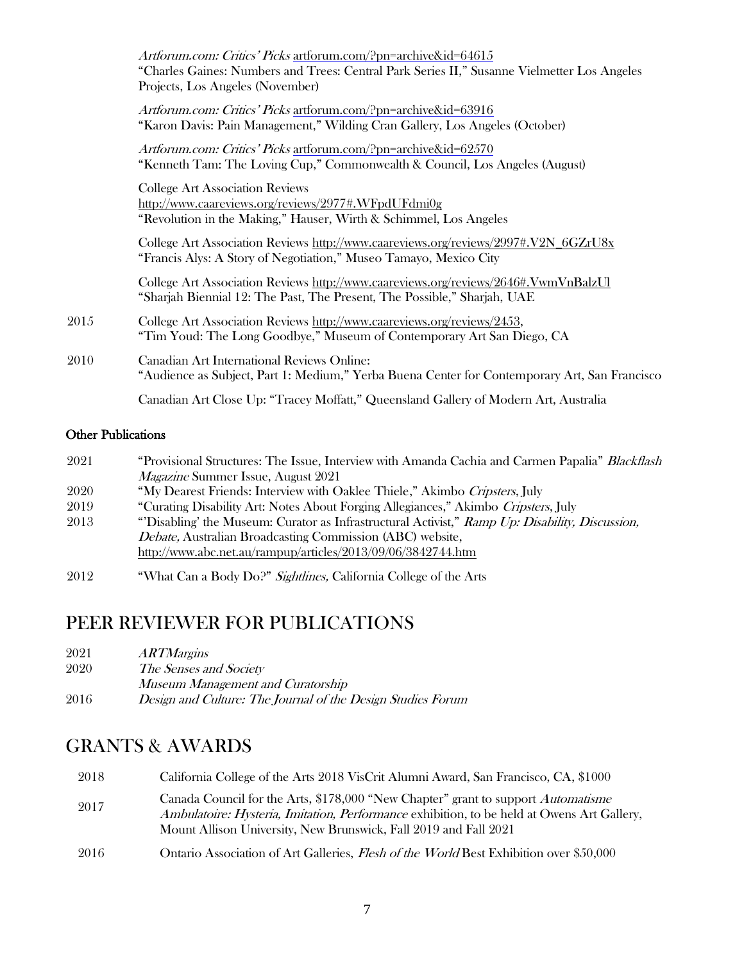|      | Artforum.com: Critics' Picks artforum.com/?pn=archive&id=64615<br>"Charles Gaines: Numbers and Trees: Central Park Series II," Susanne Vielmetter Los Angeles<br>Projects, Los Angeles (November) |
|------|---------------------------------------------------------------------------------------------------------------------------------------------------------------------------------------------------|
|      | Artforum.com: Critics' Picks artforum.com/?pn=archive&id=63916<br>"Karon Davis: Pain Management," Wilding Cran Gallery, Los Angeles (October)                                                     |
|      | Artforum.com: Critics' Picks artforum.com/?pn=archive&id=62570<br>"Kenneth Tam: The Loving Cup," Commonwealth & Council, Los Angeles (August)                                                     |
|      | <b>College Art Association Reviews</b><br>http://www.caareviews.org/reviews/2977#.WFpdUFdmi0g<br>"Revolution in the Making," Hauser, Wirth & Schimmel, Los Angeles                                |
|      | College Art Association Reviews http://www.caareviews.org/reviews/2997#.V2N_6GZrU8x<br>"Francis Alys: A Story of Negotiation," Museo Tamayo, Mexico City                                          |
|      | College Art Association Reviews http://www.caareviews.org/reviews/2646#.VwmVnBalzUl<br>"Sharjah Biennial 12: The Past, The Present, The Possible," Sharjah, UAE                                   |
| 2015 | College Art Association Reviews http://www.caareviews.org/reviews/2453,<br>"Tim Youd: The Long Goodbye," Museum of Contemporary Art San Diego, CA                                                 |
| 2010 | Canadian Art International Reviews Online:<br>"Audience as Subject, Part 1: Medium," Yerba Buena Center for Contemporary Art, San Francisco                                                       |
|      | Canadian Art Close Up: "Tracey Moffatt," Queensland Gallery of Modern Art, Australia                                                                                                              |
|      |                                                                                                                                                                                                   |

### Other Publications

| 2021 | "Provisional Structures: The Issue, Interview with Amanda Cachia and Carmen Papalia" Blackflash |
|------|-------------------------------------------------------------------------------------------------|
|      | <i>Magazine</i> Summer Issue, August 2021                                                       |
| 2020 | "My Dearest Friends: Interview with Oaklee Thiele," Akimbo Cripsters, July                      |
| 2019 | "Curating Disability Art: Notes About Forging Allegiances," Akimbo Cripsters, July              |
| 2013 | "Disabling' the Museum: Curator as Infrastructural Activist," Ramp Up: Disability, Discussion,  |
|      | <i>Debate, Australian Broadcasting Commission (ABC) website,</i>                                |
|      | http://www.abc.net.au/rampup/articles/2013/09/06/3842744.htm                                    |
| 2012 | "What Can a Body Do?" Sightlines, California College of the Arts                                |

## PEER REVIEWER FOR PUBLICATIONS

| 2020 | The Senses and Society |  |
|------|------------------------|--|
|------|------------------------|--|

Museum Management and Curatorship

| 2016 | Design and Culture: The Journal of the Design Studies Forum |  |  |  |
|------|-------------------------------------------------------------|--|--|--|
|------|-------------------------------------------------------------|--|--|--|

## GRANTS & AWARDS

| 2018  | California College of the Arts 2018 VisCrit Alumni Award, San Francisco, CA, \$1000                                                                                                                                                                 |
|-------|-----------------------------------------------------------------------------------------------------------------------------------------------------------------------------------------------------------------------------------------------------|
| 2017  | Canada Council for the Arts, \$178,000 "New Chapter" grant to support Automatisme<br>Ambulatoire: Hysteria, Imitation, Performance exhibition, to be held at Owens Art Gallery,<br>Mount Allison University, New Brunswick, Fall 2019 and Fall 2021 |
| -2016 | Ontario Association of Art Galleries, <i>Flesh of the World</i> Best Exhibition over \$50,000                                                                                                                                                       |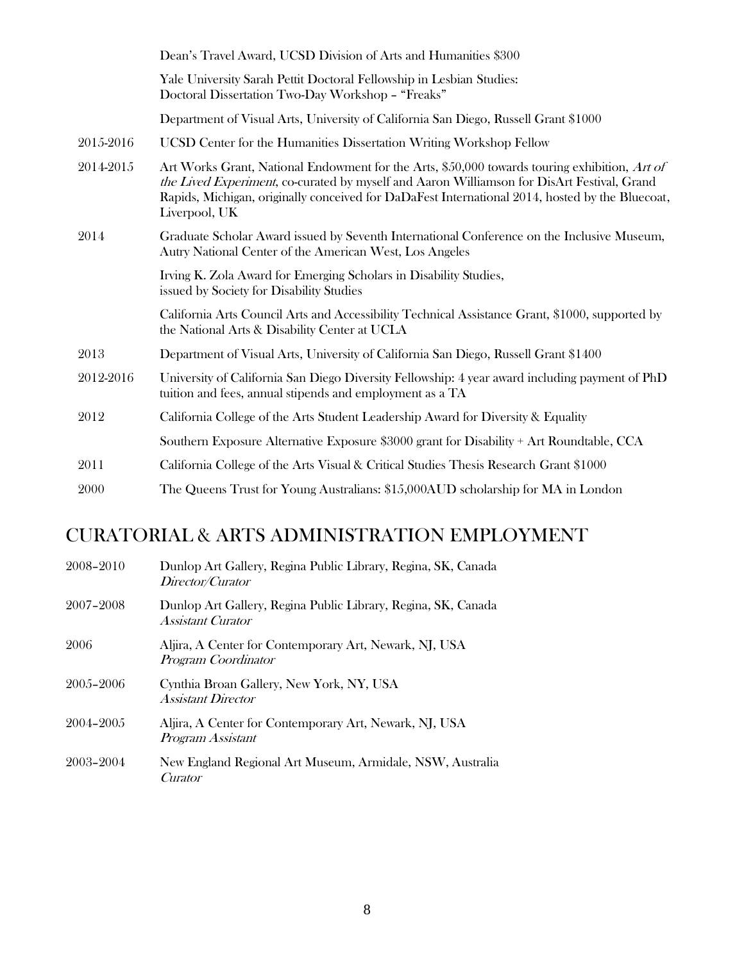|           | Dean's Travel Award, UCSD Division of Arts and Humanities \$300                                                                                                                                                                                                                                                 |
|-----------|-----------------------------------------------------------------------------------------------------------------------------------------------------------------------------------------------------------------------------------------------------------------------------------------------------------------|
|           | Yale University Sarah Pettit Doctoral Fellowship in Lesbian Studies:<br>Doctoral Dissertation Two-Day Workshop - "Freaks"                                                                                                                                                                                       |
|           | Department of Visual Arts, University of California San Diego, Russell Grant \$1000                                                                                                                                                                                                                             |
| 2015-2016 | UCSD Center for the Humanities Dissertation Writing Workshop Fellow                                                                                                                                                                                                                                             |
| 2014-2015 | Art Works Grant, National Endowment for the Arts, \$50,000 towards touring exhibition, Art of<br>the Lived Experiment, co-curated by myself and Aaron Williamson for DisArt Festival, Grand<br>Rapids, Michigan, originally conceived for DaDaFest International 2014, hosted by the Bluecoat,<br>Liverpool, UK |
| 2014      | Graduate Scholar Award issued by Seventh International Conference on the Inclusive Museum,<br>Autry National Center of the American West, Los Angeles                                                                                                                                                           |
|           | Irving K. Zola Award for Emerging Scholars in Disability Studies,<br>issued by Society for Disability Studies                                                                                                                                                                                                   |
|           | California Arts Council Arts and Accessibility Technical Assistance Grant, \$1000, supported by<br>the National Arts & Disability Center at UCLA                                                                                                                                                                |
| 2013      | Department of Visual Arts, University of California San Diego, Russell Grant \$1400                                                                                                                                                                                                                             |
| 2012-2016 | University of California San Diego Diversity Fellowship: 4 year award including payment of PhD<br>tuition and fees, annual stipends and employment as a TA                                                                                                                                                      |
| 2012      | California College of the Arts Student Leadership Award for Diversity & Equality                                                                                                                                                                                                                                |
|           | Southern Exposure Alternative Exposure \$3000 grant for Disability + Art Roundtable, CCA                                                                                                                                                                                                                        |
| 2011      | California College of the Arts Visual & Critical Studies Thesis Research Grant \$1000                                                                                                                                                                                                                           |
| 2000      | The Queens Trust for Young Australians: \$15,000AUD scholarship for MA in London                                                                                                                                                                                                                                |

## CURATORIAL & ARTS ADMINISTRATION EMPLOYMENT

| 2008-2010 | Dunlop Art Gallery, Regina Public Library, Regina, SK, Canada<br>Director/Curator         |
|-----------|-------------------------------------------------------------------------------------------|
| 2007-2008 | Dunlop Art Gallery, Regina Public Library, Regina, SK, Canada<br><i>Assistant Curator</i> |
| 2006      | Aljira, A Center for Contemporary Art, Newark, NJ, USA<br>Program Coordinator             |
| 2005-2006 | Cynthia Broan Gallery, New York, NY, USA<br><b>Assistant Director</b>                     |
| 2004-2005 | Aljira, A Center for Contemporary Art, Newark, NJ, USA<br>Program Assistant               |
| 2003-2004 | New England Regional Art Museum, Armidale, NSW, Australia<br>Curator                      |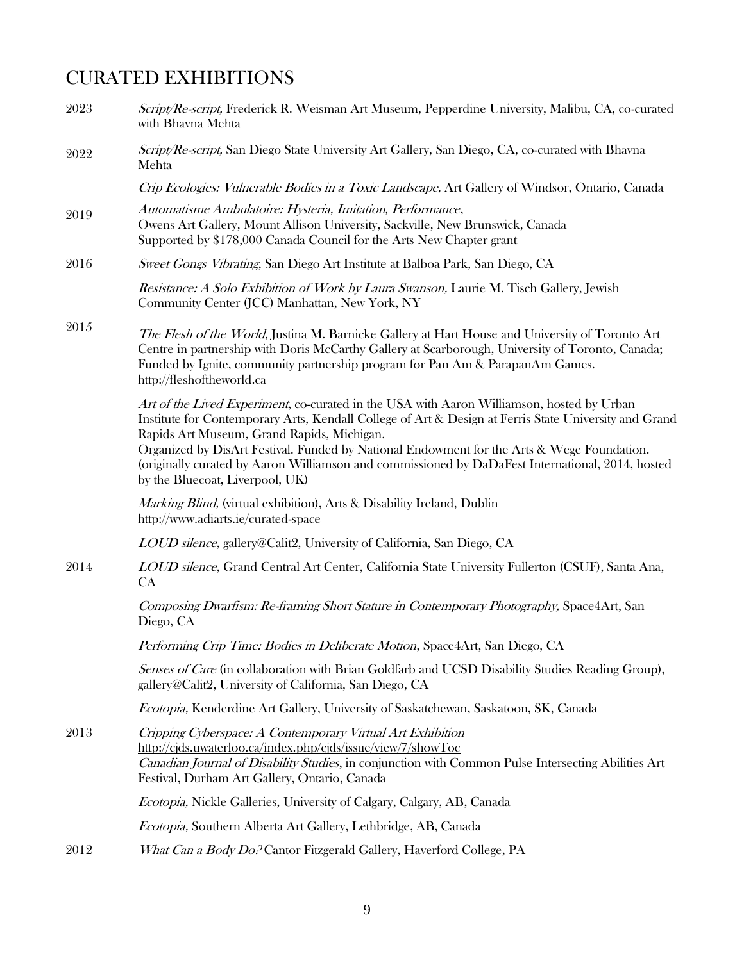## CURATED EXHIBITIONS

| 2023 | Script/Re-script, Frederick R. Weisman Art Museum, Pepperdine University, Malibu, CA, co-curated<br>with Bhavna Mehta                                                                                                                                                                                                                                                                                                                                                                 |
|------|---------------------------------------------------------------------------------------------------------------------------------------------------------------------------------------------------------------------------------------------------------------------------------------------------------------------------------------------------------------------------------------------------------------------------------------------------------------------------------------|
| 2022 | Script/Re-script, San Diego State University Art Gallery, San Diego, CA, co-curated with Bhavna<br>Mehta                                                                                                                                                                                                                                                                                                                                                                              |
|      | Crip Ecologies: Vulnerable Bodies in a Toxic Landscape, Art Gallery of Windsor, Ontario, Canada                                                                                                                                                                                                                                                                                                                                                                                       |
| 2019 | Automatisme Ambulatoire: Hysteria, Imitation, Performance,<br>Owens Art Gallery, Mount Allison University, Sackville, New Brunswick, Canada<br>Supported by \$178,000 Canada Council for the Arts New Chapter grant                                                                                                                                                                                                                                                                   |
| 2016 | Sweet Gongs Vibrating, San Diego Art Institute at Balboa Park, San Diego, CA                                                                                                                                                                                                                                                                                                                                                                                                          |
|      | Resistance: A Solo Exhibition of Work by Laura Swanson, Laurie M. Tisch Gallery, Jewish<br>Community Center (JCC) Manhattan, New York, NY                                                                                                                                                                                                                                                                                                                                             |
| 2015 | The Flesh of the World, Justina M. Barnicke Gallery at Hart House and University of Toronto Art<br>Centre in partnership with Doris McCarthy Gallery at Scarborough, University of Toronto, Canada;<br>Funded by Ignite, community partnership program for Pan Am & ParapanAm Games.<br>http://fleshoftheworld.ca                                                                                                                                                                     |
|      | Art of the Lived Experiment, co-curated in the USA with Aaron Williamson, hosted by Urban<br>Institute for Contemporary Arts, Kendall College of Art & Design at Ferris State University and Grand<br>Rapids Art Museum, Grand Rapids, Michigan.<br>Organized by DisArt Festival. Funded by National Endowment for the Arts & Wege Foundation.<br>(originally curated by Aaron Williamson and commissioned by DaDaFest International, 2014, hosted<br>by the Bluecoat, Liverpool, UK) |
|      | Marking Blind, (virtual exhibition), Arts & Disability Ireland, Dublin<br>http://www.adiarts.ie/curated-space                                                                                                                                                                                                                                                                                                                                                                         |
|      | LOUD silence, gallery@Calit2, University of California, San Diego, CA                                                                                                                                                                                                                                                                                                                                                                                                                 |
| 2014 | LOUD silence, Grand Central Art Center, California State University Fullerton (CSUF), Santa Ana,<br>CA                                                                                                                                                                                                                                                                                                                                                                                |
|      | Composing Dwarfism: Re-framing Short Stature in Contemporary Photography, Space Art, San<br>Diego, CA                                                                                                                                                                                                                                                                                                                                                                                 |
|      | Performing Crip Time: Bodies in Deliberate Motion, Space4Art, San Diego, CA                                                                                                                                                                                                                                                                                                                                                                                                           |
|      | Senses of Care (in collaboration with Brian Goldfarb and UCSD Disability Studies Reading Group),<br>gallery@Calit2, University of California, San Diego, CA                                                                                                                                                                                                                                                                                                                           |
|      | Ecotopia, Kenderdine Art Gallery, University of Saskatchewan, Saskatoon, SK, Canada                                                                                                                                                                                                                                                                                                                                                                                                   |
| 2013 | Cripping Cyberspace: A Contemporary Virtual Art Exhibition<br>http://cjds.uwaterloo.ca/index.php/cjds/issue/view/7/showToc<br>Canadian Journal of Disability Studies, in conjunction with Common Pulse Intersecting Abilities Art<br>Festival, Durham Art Gallery, Ontario, Canada                                                                                                                                                                                                    |
|      | Ecotopia, Nickle Galleries, University of Calgary, Calgary, AB, Canada                                                                                                                                                                                                                                                                                                                                                                                                                |
|      | Ecotopia, Southern Alberta Art Gallery, Lethbridge, AB, Canada                                                                                                                                                                                                                                                                                                                                                                                                                        |
| 2012 | What Can a Body Do. <sup>2</sup> Cantor Fitzgerald Gallery, Haverford College, PA                                                                                                                                                                                                                                                                                                                                                                                                     |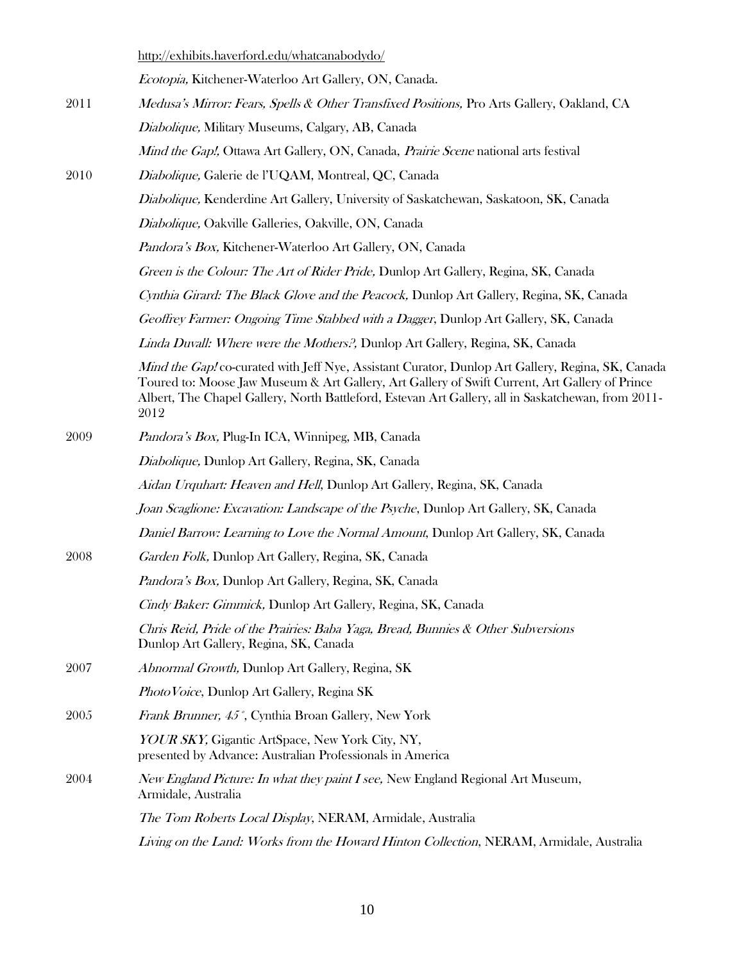|      | http://exhibits.haverford.edu/whatcanabodydo/                                                                                                                                                                                                                                                                     |
|------|-------------------------------------------------------------------------------------------------------------------------------------------------------------------------------------------------------------------------------------------------------------------------------------------------------------------|
|      | Ecotopia, Kitchener-Waterloo Art Gallery, ON, Canada.                                                                                                                                                                                                                                                             |
| 2011 | Medusa's Mirror: Fears, Spells & Other Transfixed Positions, Pro Arts Gallery, Oakland, CA                                                                                                                                                                                                                        |
|      | Diabolique, Military Museums, Calgary, AB, Canada                                                                                                                                                                                                                                                                 |
|      | Mind the Gap!, Ottawa Art Gallery, ON, Canada, Prairie Scene national arts festival                                                                                                                                                                                                                               |
| 2010 | Diabolique, Galerie de l'UQAM, Montreal, QC, Canada                                                                                                                                                                                                                                                               |
|      | Diabolique, Kenderdine Art Gallery, University of Saskatchewan, Saskatoon, SK, Canada                                                                                                                                                                                                                             |
|      | Diabolique, Oakville Galleries, Oakville, ON, Canada                                                                                                                                                                                                                                                              |
|      | <i>Pandora's Box, Kitchener-Waterloo Art Gallery, ON, Canada</i>                                                                                                                                                                                                                                                  |
|      | Green is the Colour: The Art of Rider Pride, Dunlop Art Gallery, Regina, SK, Canada                                                                                                                                                                                                                               |
|      | Cynthia Girard: The Black Glove and the Peacock, Dunlop Art Gallery, Regina, SK, Canada                                                                                                                                                                                                                           |
|      | Geoffrey Farmer: Ongoing Time Stabbed with a Dagger, Dunlop Art Gallery, SK, Canada                                                                                                                                                                                                                               |
|      | Linda Duvall: Where were the Mothers?, Dunlop Art Gallery, Regina, SK, Canada                                                                                                                                                                                                                                     |
|      | Mind the Gap! co-curated with Jeff Nye, Assistant Curator, Dunlop Art Gallery, Regina, SK, Canada<br>Toured to: Moose Jaw Museum & Art Gallery, Art Gallery of Swift Current, Art Gallery of Prince<br>Albert, The Chapel Gallery, North Battleford, Estevan Art Gallery, all in Saskatchewan, from 2011-<br>2012 |
| 2009 | Pandora's Box, Plug-In ICA, Winnipeg, MB, Canada                                                                                                                                                                                                                                                                  |
|      | Diabolique, Dunlop Art Gallery, Regina, SK, Canada                                                                                                                                                                                                                                                                |
|      | Aidan Urquhart: Heaven and Hell, Dunlop Art Gallery, Regina, SK, Canada                                                                                                                                                                                                                                           |
|      | Joan Scaglione: Excavation: Landscape of the Psyche, Dunlop Art Gallery, SK, Canada                                                                                                                                                                                                                               |
|      | Daniel Barrow: Learning to Love the Normal Amount, Dunlop Art Gallery, SK, Canada                                                                                                                                                                                                                                 |
| 2008 | Garden Folk, Dunlop Art Gallery, Regina, SK, Canada                                                                                                                                                                                                                                                               |
|      | <i>Pandora's Box, Dunlop Art Gallery, Regina, SK, Canada</i>                                                                                                                                                                                                                                                      |
|      | Cindy Baker: Gimmick, Dunlop Art Gallery, Regina, SK, Canada                                                                                                                                                                                                                                                      |
|      | Chris Reid, Pride of the Prairies: Baba Yaga, Bread, Bunnies & Other Subversions<br>Dunlop Art Gallery, Regina, SK, Canada                                                                                                                                                                                        |
| 2007 | Abnormal Growth, Dunlop Art Gallery, Regina, SK                                                                                                                                                                                                                                                                   |
|      | <i>Photo Voice</i> , Dunlop Art Gallery, Regina SK                                                                                                                                                                                                                                                                |
| 2005 | Frank Brunner, 45°, Cynthia Broan Gallery, New York                                                                                                                                                                                                                                                               |
|      | YOUR SKY, Gigantic ArtSpace, New York City, NY,<br>presented by Advance: Australian Professionals in America                                                                                                                                                                                                      |
| 2004 | <i>New England Picture: In what they paint I see, New England Regional Art Museum,</i><br>Armidale, Australia                                                                                                                                                                                                     |
|      | The Tom Roberts Local Display, NERAM, Armidale, Australia                                                                                                                                                                                                                                                         |
|      | Living on the Land: Works from the Howard Hinton Collection, NERAM, Armidale, Australia                                                                                                                                                                                                                           |

10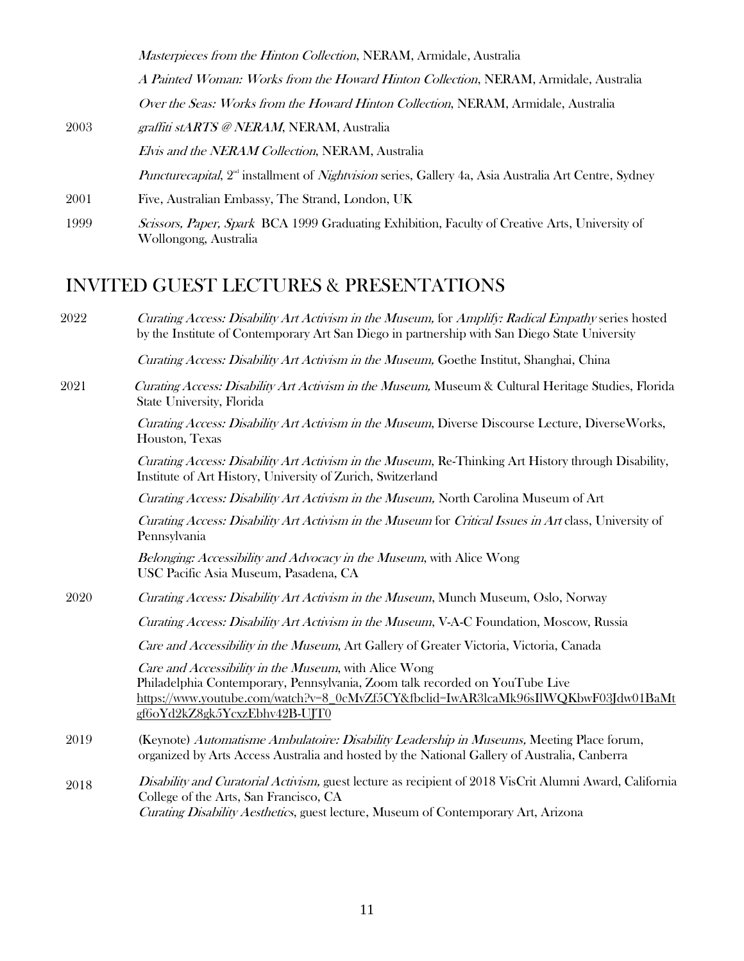Masterpieces from the Hinton Collection, NERAM, Armidale, Australia

A Painted Woman: Works from the Howard Hinton Collection, NERAM, Armidale, Australia Over the Seas: Works from the Howard Hinton Collection, NERAM, Armidale, Australia

- 2003 graffiti stARTS @ NERAM, NERAM, Australia Elvis and the NERAM Collection, NERAM, Australia *Puncturecapital*,  $2^{\omega}$  installment of *Nightvision* series, Gallery 4a, Asia Australia Art Centre, Sydney 2001 Five, Australian Embassy, The Strand, London, UK
- 1999 Scissors, Paper, Spark BCA 1999 Graduating Exhibition, Faculty of Creative Arts, University of Wollongong, Australia

## INVITED GUEST LECTURES & PRESENTATIONS

2022 Curating Access: Disability Art Activism in the Museum, for Amplify: Radical Empathy series hosted by the Institute of Contemporary Art San Diego in partnership with San Diego State University

Curating Access: Disability Art Activism in the Museum, Goethe Institut, Shanghai, China

2021 Curating Access: Disability Art Activism in the Museum, Museum & Cultural Heritage Studies, Florida State University, Florida

> Curating Access: Disability Art Activism in the Museum, Diverse Discourse Lecture, DiverseWorks, Houston, Texas

> Curating Access: Disability Art Activism in the Museum, Re-Thinking Art History through Disability, Institute of Art History, University of Zurich, Switzerland

Curating Access: Disability Art Activism in the Museum, North Carolina Museum of Art

Curating Access: Disability Art Activism in the Museum for Critical Issues in Art class, University of Pennsylvania

Belonging: Accessibility and Advocacy in the Museum, with Alice Wong USC Pacific Asia Museum, Pasadena, CA

2020 Curating Access: Disability Art Activism in the Museum, Munch Museum, Oslo, Norway

Curating Access: Disability Art Activism in the Museum, V-A-C Foundation, Moscow, Russia

Care and Accessibility in the Museum, Art Gallery of Greater Victoria, Victoria, Canada

Care and Accessibility in the Museum, with Alice Wong Philadelphia Contemporary, Pennsylvania, Zoom talk recorded on YouTube Live [https://www.youtube.com/watch?v=8\\_0cMvZf5CY&fbclid=IwAR3lcaMk96sIlWQKbwF03Jdw01BaMt](https://www.youtube.com/watch?v=8_0cMvZf5CY&fbclid=IwAR3lcaMk96sIlWQKbwF03Jdw01BaMtgf6oYd2kZ8gk5YcxzEbhv42B-UJT0) [gf6oYd2kZ8gk5YcxzEbhv42B-UJT0](https://www.youtube.com/watch?v=8_0cMvZf5CY&fbclid=IwAR3lcaMk96sIlWQKbwF03Jdw01BaMtgf6oYd2kZ8gk5YcxzEbhv42B-UJT0)

- 2019 (Keynote) Automatisme Ambulatoire: Disability Leadership in Museums, Meeting Place forum, organized by Arts Access Australia and hosted by the National Gallery of Australia, Canberra
- 2018 Disability and Curatorial Activism, guest lecture as recipient of 2018 VisCrit Alumni Award, California College of the Arts, San Francisco, CA Curating Disability Aesthetics, guest lecture, Museum of Contemporary Art, Arizona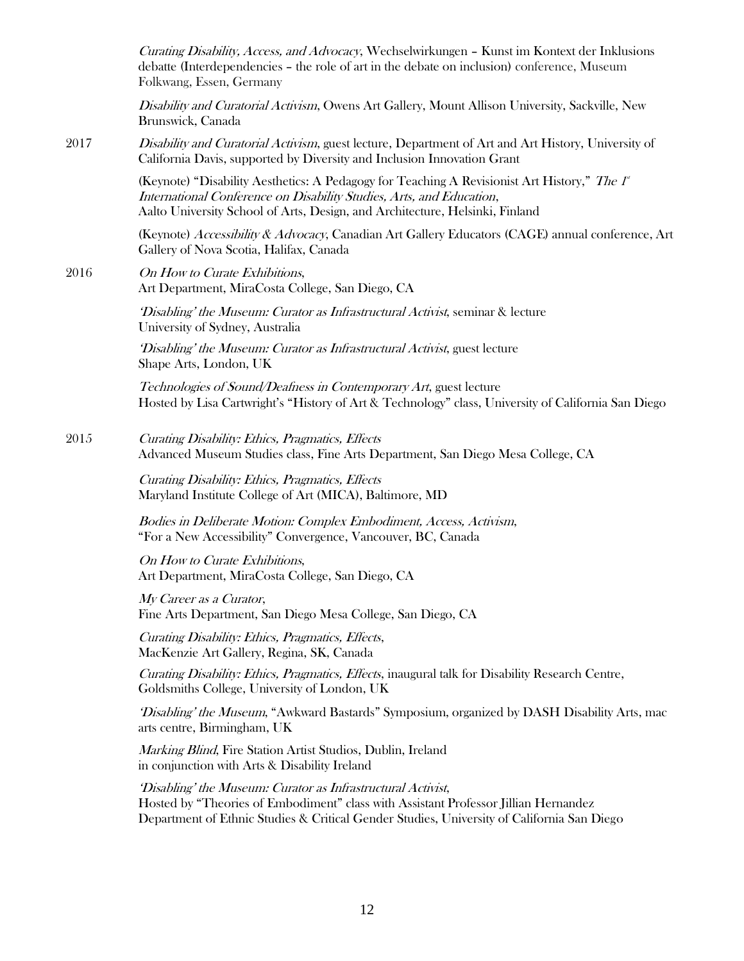|      | <i>Curating Disability, Access, and Advocacy</i> , Wechselwirkungen – Kunst im Kontext der Inklusions<br>debatte (Interdependencies - the role of art in the debate on inclusion) conference, Museum<br>Folkwang, Essen, Germany                    |
|------|-----------------------------------------------------------------------------------------------------------------------------------------------------------------------------------------------------------------------------------------------------|
|      | Disability and Curatorial Activism, Owens Art Gallery, Mount Allison University, Sackville, New<br>Brunswick, Canada                                                                                                                                |
| 2017 | Disability and Curatorial Activism, guest lecture, Department of Art and Art History, University of<br>California Davis, supported by Diversity and Inclusion Innovation Grant                                                                      |
|      | (Keynote) "Disability Aesthetics: A Pedagogy for Teaching A Revisionist Art History," The 1<br>International Conference on Disability Studies, Arts, and Education,<br>Aalto University School of Arts, Design, and Architecture, Helsinki, Finland |
|      | (Keynote) Accessibility & Advocacy, Canadian Art Gallery Educators (CAGE) annual conference, Art<br>Gallery of Nova Scotia, Halifax, Canada                                                                                                         |
| 2016 | On How to Curate Exhibitions,<br>Art Department, MiraCosta College, San Diego, CA                                                                                                                                                                   |
|      | 'Disabling' the Museum: Curator as Infrastructural Activist, seminar & lecture<br>University of Sydney, Australia                                                                                                                                   |
|      | 'Disabling' the Museum: Curator as Infrastructural Activist, guest lecture<br>Shape Arts, London, UK                                                                                                                                                |
|      | Technologies of Sound/Deafness in Contemporary Art, guest lecture<br>Hosted by Lisa Cartwright's "History of Art & Technology" class, University of California San Diego                                                                            |
| 2015 | Curating Disability: Ethics, Pragmatics, Effects<br>Advanced Museum Studies class, Fine Arts Department, San Diego Mesa College, CA                                                                                                                 |
|      | Curating Disability: Ethics, Pragmatics, Effects<br>Maryland Institute College of Art (MICA), Baltimore, MD                                                                                                                                         |
|      | Bodies in Deliberate Motion: Complex Embodiment, Access, Activism,<br>"For a New Accessibility" Convergence, Vancouver, BC, Canada                                                                                                                  |
|      | On How to Curate Exhibitions,<br>Art Department, MiraCosta College, San Diego, CA                                                                                                                                                                   |
|      | My Career as a Curator,<br>Fine Arts Department, San Diego Mesa College, San Diego, CA                                                                                                                                                              |
|      | Curating Disability: Ethics, Pragmatics, Effects,<br>MacKenzie Art Gallery, Regina, SK, Canada                                                                                                                                                      |
|      | Curating Disability: Ethics, Pragmatics, Effects, inaugural talk for Disability Research Centre,<br>Goldsmiths College, University of London, UK                                                                                                    |
|      | 'Disabling' the Museum, "Awkward Bastards" Symposium, organized by DASH Disability Arts, mac<br>arts centre, Birmingham, UK                                                                                                                         |
|      | Marking Blind, Fire Station Artist Studios, Dublin, Ireland<br>in conjunction with Arts & Disability Ireland                                                                                                                                        |
|      | 'Disabling' the Museum: Curator as Infrastructural Activist,<br>Hosted by "Theories of Embodiment" class with Assistant Professor Jillian Hernandez<br>Department of Ethnic Studies & Critical Gender Studies, University of California San Diego   |
|      |                                                                                                                                                                                                                                                     |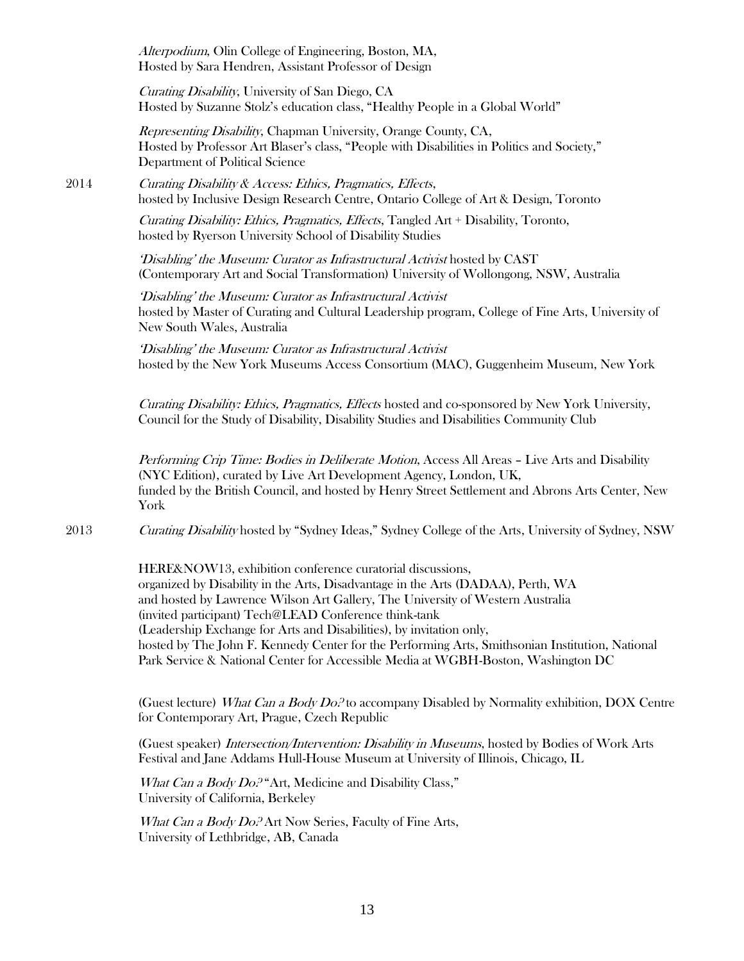Alterpodium, Olin College of Engineering, Boston, MA, Hosted by Sara Hendren, Assistant Professor of Design

Curating Disability, University of San Diego, CA Hosted by Suzanne Stolz's education class, "Healthy People in a Global World"

Representing Disability, Chapman University, Orange County, CA, Hosted by Professor Art Blaser's class, "People with Disabilities in Politics and Society," Department of Political Science

2014 Curating Disability & Access: Ethics, Pragmatics, Effects, hosted by Inclusive Design Research Centre, Ontario College of Art & Design, Toronto

> Curating Disability: Ethics, Pragmatics, Effects, Tangled Art + Disability, Toronto, hosted by Ryerson University School of Disability Studies

'Disabling' the Museum: Curator as Infrastructural Activist hosted by CAST (Contemporary Art and Social Transformation) University of Wollongong, NSW, Australia

'Disabling' the Museum: Curator as Infrastructural Activist hosted by Master of Curating and Cultural Leadership program, College of Fine Arts, University of New South Wales, Australia

'Disabling' the Museum: Curator as Infrastructural Activist hosted by the New York Museums Access Consortium (MAC), Guggenheim Museum, New York

Curating Disability: Ethics, Pragmatics, Effects hosted and co-sponsored by New York University, Council for the Study of Disability, Disability Studies and Disabilities Community Club

Performing Crip Time: Bodies in Deliberate Motion, Access All Areas - Live Arts and Disability (NYC Edition), curated by Live Art Development Agency, London, UK, funded by the British Council, and hosted by Henry Street Settlement and Abrons Arts Center, New York

2013 Curating Disability hosted by "Sydney Ideas," Sydney College of the Arts, University of Sydney, NSW

HERE&NOW13, exhibition conference curatorial discussions, organized by Disability in the Arts, Disadvantage in the Arts (DADAA), Perth, WA and hosted by Lawrence Wilson Art Gallery, The University of Western Australia (invited participant) Tech@LEAD Conference think-tank (Leadership Exchange for Arts and Disabilities), by invitation only, hosted by The John F. Kennedy Center for the Performing Arts, Smithsonian Institution, National Park Service & National Center for Accessible Media at WGBH-Boston, Washington DC

(Guest lecture) What Can a Body  $Do<sup>2</sup>$  to accompany Disabled by Normality exhibition, DOX Centre for Contemporary Art, Prague, Czech Republic

(Guest speaker) Intersection/Intervention: Disability in Museums, hosted by Bodies of Work Arts Festival and Jane Addams Hull-House Museum at University of Illinois, Chicago, IL

What Can a Body Do.<sup>9</sup> Art, Medicine and Disability Class," University of California, Berkeley

What Can a Body Do.<sup>2</sup> Art Now Series, Faculty of Fine Arts, University of Lethbridge, AB, Canada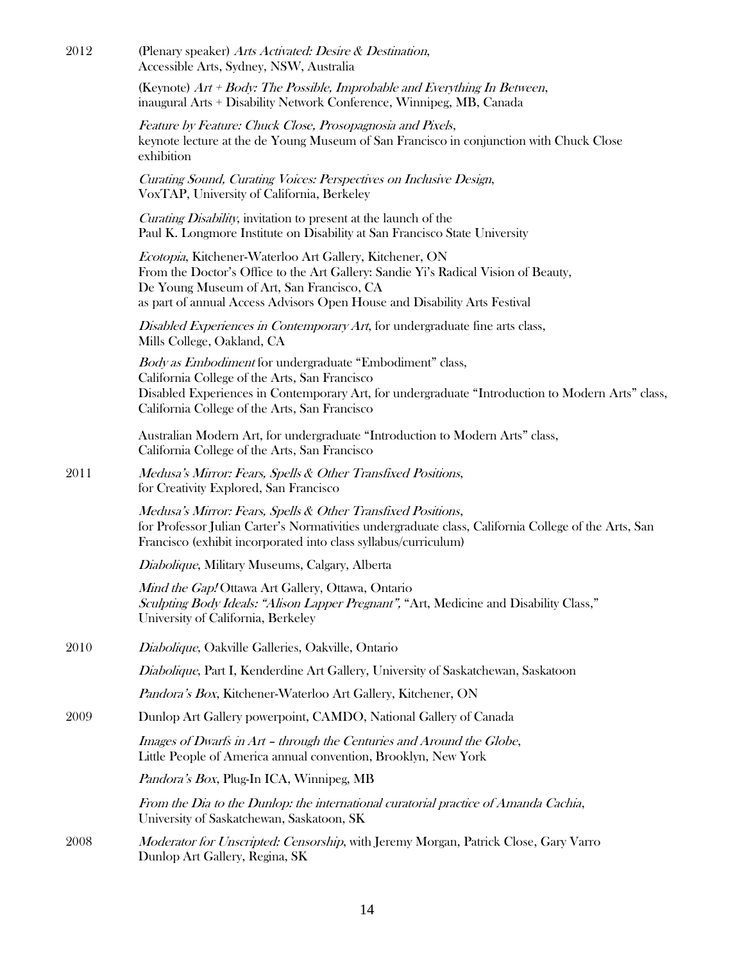| 2012 | (Plenary speaker) Arts Activated: Desire & Destination,<br>Accessible Arts, Sydney, NSW, Australia                                                                                                                                                                      |
|------|-------------------------------------------------------------------------------------------------------------------------------------------------------------------------------------------------------------------------------------------------------------------------|
|      | (Keynote) $Art + Body$ : The Possible, Improbable and Everything In Between,<br>inaugural Arts + Disability Network Conference, Winnipeg, MB, Canada                                                                                                                    |
|      | Feature by Feature: Chuck Close, Prosopagnosia and Pixels,<br>keynote lecture at the de Young Museum of San Francisco in conjunction with Chuck Close<br>exhibition                                                                                                     |
|      | Curating Sound, Curating Voices: Perspectives on Inclusive Design,<br>VoxTAP, University of California, Berkeley                                                                                                                                                        |
|      | Curating Disability, invitation to present at the launch of the<br>Paul K. Longmore Institute on Disability at San Francisco State University                                                                                                                           |
|      | Ecotopia, Kitchener-Waterloo Art Gallery, Kitchener, ON<br>From the Doctor's Office to the Art Gallery: Sandie Yi's Radical Vision of Beauty,<br>De Young Museum of Art, San Francisco, CA<br>as part of annual Access Advisors Open House and Disability Arts Festival |
|      | Disabled Experiences in Contemporary Art, for undergraduate fine arts class,<br>Mills College, Oakland, CA                                                                                                                                                              |
|      | Body as Embodiment for undergraduate "Embodiment" class,<br>California College of the Arts, San Francisco<br>Disabled Experiences in Contemporary Art, for undergraduate "Introduction to Modern Arts" class,<br>California College of the Arts, San Francisco          |
|      | Australian Modern Art, for undergraduate "Introduction to Modern Arts" class,<br>California College of the Arts, San Francisco                                                                                                                                          |
| 2011 | Medusa's Mirror: Fears, Spells & Other Transfixed Positions,<br>for Creativity Explored, San Francisco                                                                                                                                                                  |
|      | Medusa's Mirror: Fears, Spells & Other Transfixed Positions,<br>for Professor Julian Carter's Normativities undergraduate class, California College of the Arts, San<br>Francisco (exhibit incorporated into class syllabus/curriculum)                                 |
|      | Diabolique, Military Museums, Calgary, Alberta                                                                                                                                                                                                                          |
|      | Mind the Gap! Ottawa Art Gallery, Ottawa, Ontario<br>Sculpting Body Ideals: "Alison Lapper Pregnant", "Art, Medicine and Disability Class,"<br>University of California, Berkeley                                                                                       |
| 2010 | Diabolique, Oakville Galleries, Oakville, Ontario                                                                                                                                                                                                                       |
|      | <i>Diabolique</i> , Part I, Kenderdine Art Gallery, University of Saskatchewan, Saskatoon                                                                                                                                                                               |
|      | Pandora's Box, Kitchener-Waterloo Art Gallery, Kitchener, ON                                                                                                                                                                                                            |
| 2009 | Dunlop Art Gallery powerpoint, CAMDO, National Gallery of Canada                                                                                                                                                                                                        |
|      | Images of Dwarfs in Art - through the Centuries and Around the Globe,<br>Little People of America annual convention, Brooklyn, New York                                                                                                                                 |
|      | Pandora's Box, Plug-In ICA, Winnipeg, MB                                                                                                                                                                                                                                |
|      | From the Dia to the Dunlop: the international curatorial practice of Amanda Cachia,<br>University of Saskatchewan, Saskatoon, SK                                                                                                                                        |
| 2008 | <i>Moderator for Unscripted: Censorship,</i> with Jeremy Morgan, Patrick Close, Gary Varro<br>Dunlop Art Gallery, Regina, SK                                                                                                                                            |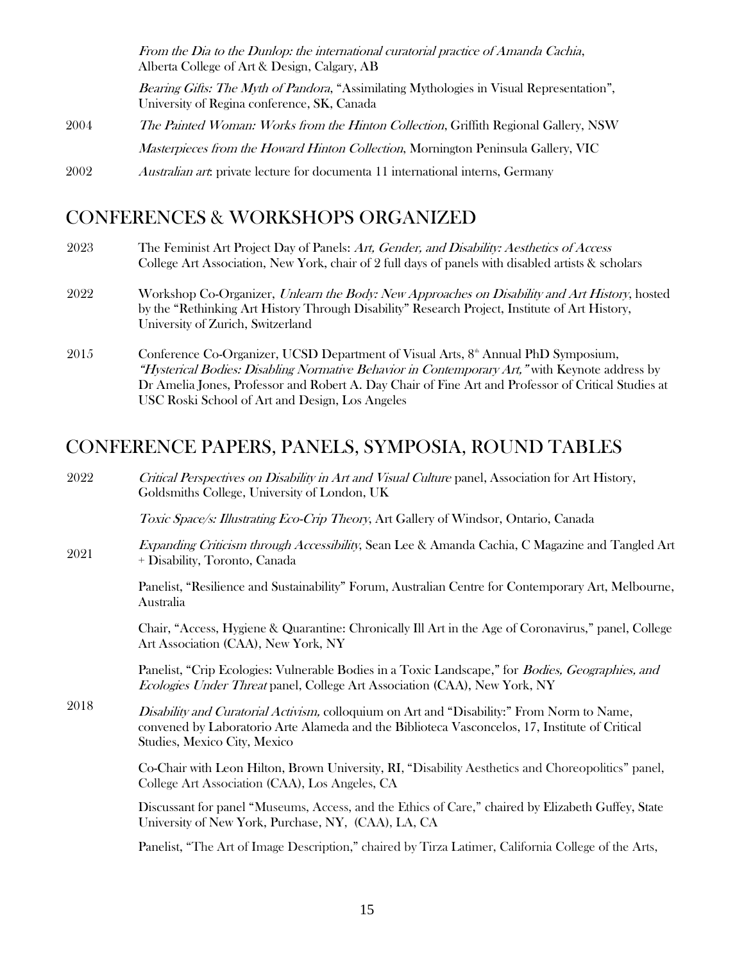|      | From the Dia to the Dunlop: the international curatorial practice of Amanda Cachia,<br>Alberta College of Art & Design, Calgary, AB            |
|------|------------------------------------------------------------------------------------------------------------------------------------------------|
|      | <i>Bearing Gifts: The Myth of Pandora,</i> "Assimilating Mythologies in Visual Representation",<br>University of Regina conference, SK, Canada |
| 2004 | <i>The Painted Woman: Works from the Hinton Collection, Griffith Regional Gallery, NSW</i>                                                     |
|      | <i>Masterpieces from the Howard Hinton Collection, Mornington Peninsula Gallery, VIC</i>                                                       |
| 2002 | <i>Australian art</i> : private lecture for documenta 11 international interns, Germany                                                        |

## CONFERENCES & WORKSHOPS ORGANIZED

- 2023 The Feminist Art Project Day of Panels: Art, Gender, and Disability: Aesthetics of Access College Art Association, New York, chair of 2 full days of panels with disabled artists & scholars
- 2022 Workshop Co-Organizer, Unlearn the Body: New Approaches on Disability and Art History, hosted by the "Rethinking Art History Through Disability" Research Project, Institute of Art History, University of Zurich, Switzerland
- 2015 Conference Co-Organizer, UCSD Department of Visual Arts, 8<sup>th</sup> Annual PhD Symposium, "Hysterical Bodies: Disabling Normative Behavior in Contemporary Art," with Keynote address by Dr Amelia Jones, Professor and Robert A. Day Chair of Fine Art and Professor of Critical Studies at USC Roski School of Art and Design, Los Angeles

### CONFERENCE PAPERS, PANELS, SYMPOSIA, ROUND TABLES

2022 Critical Perspectives on Disability in Art and Visual Culture panel, Association for Art History, Goldsmiths College, University of London, UK

Toxic Space/s: Illustrating Eco-Crip Theory, Art Gallery of Windsor, Ontario, Canada

2021 Expanding Criticism through Accessibility, Sean Lee & Amanda Cachia, C Magazine and Tangled Art + Disability, Toronto, Canada

> Panelist, "Resilience and Sustainability" Forum, Australian Centre for Contemporary Art, Melbourne, Australia

> Chair, "Access, Hygiene & Quarantine: Chronically Ill Art in the Age of Coronavirus," panel, College Art Association (CAA), New York, NY

Panelist, "Crip Ecologies: Vulnerable Bodies in a Toxic Landscape," for Bodies, Geographies, and Ecologies Under Threat panel, College Art Association (CAA), New York, NY

2018 Disability and Curatorial Activism, colloquium on Art and "Disability:" From Norm to Name, convened by Laboratorio Arte Alameda and the Biblioteca Vasconcelos, 17, Institute of Critical Studies, Mexico City, Mexico

> Co-Chair with Leon Hilton, Brown University, RI, "Disability Aesthetics and Choreopolitics" panel, College Art Association (CAA), Los Angeles, CA

> Discussant for panel "Museums, Access, and the Ethics of Care," chaired by Elizabeth Guffey, State University of New York, Purchase, NY, (CAA), LA, CA

Panelist, "The Art of Image Description," chaired by Tirza Latimer, California College of the Arts,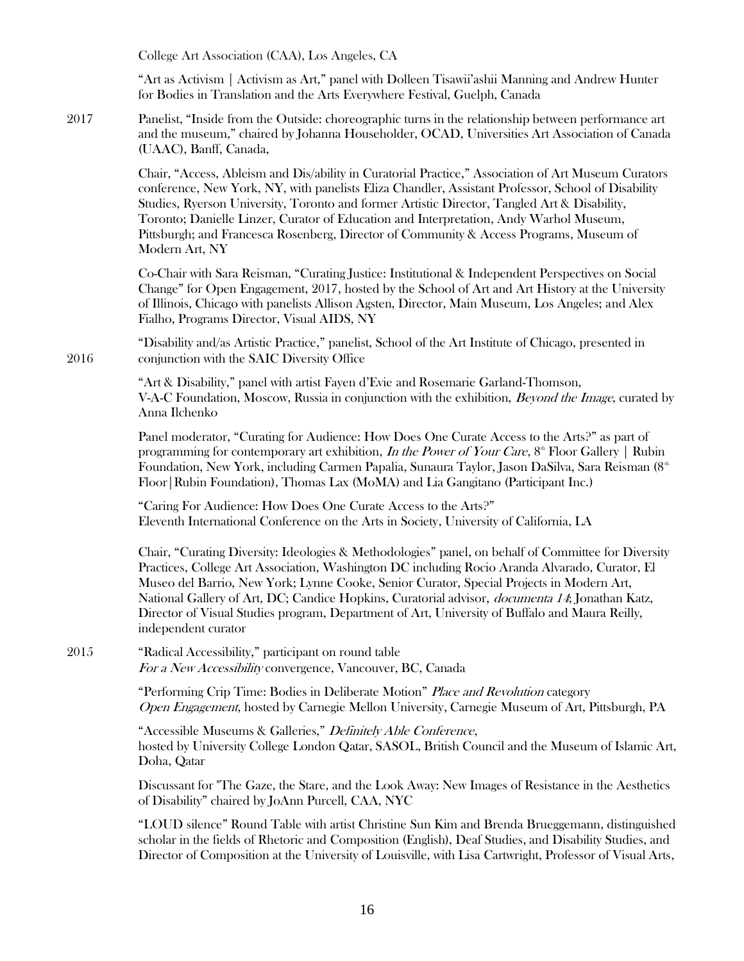College Art Association (CAA), Los Angeles, CA

"Art as Activism | Activism as Art," panel with Dolleen Tisawii'ashii Manning and Andrew Hunter for Bodies in Translation and the Arts Everywhere Festival, Guelph, Canada

2017 Panelist, "Inside from the Outside: choreographic turns in the relationship between performance art and the museum," chaired by Johanna Householder, OCAD, Universities Art Association of Canada (UAAC), Banff, Canada,

> Chair, "Access, Ableism and Dis/ability in Curatorial Practice," Association of Art Museum Curators conference, New York, NY, with panelists Eliza Chandler, Assistant Professor, School of Disability Studies, Ryerson University, Toronto and former Artistic Director, Tangled Art & Disability, Toronto; Danielle Linzer, Curator of Education and Interpretation, Andy Warhol Museum, Pittsburgh; and Francesca Rosenberg, Director of Community & Access Programs, Museum of Modern Art, NY

> Co-Chair with Sara Reisman, "Curating Justice: Institutional & Independent Perspectives on Social Change" for Open Engagement, 2017, hosted by the School of Art and Art History at the University of Illinois, Chicago with panelists Allison Agsten, Director, Main Museum, Los Angeles; and Alex Fialho, Programs Director, Visual AIDS, NY

2016 "Disability and/as Artistic Practice," panelist, School of the Art Institute of Chicago, presented in conjunction with the SAIC Diversity Office

> "Art & Disability," panel with artist Fayen d'Evie and Rosemarie Garland-Thomson, V-A-C Foundation, Moscow, Russia in conjunction with the exhibition, *Beyond the Image*, curated by Anna Ilchenko

> Panel moderator, "Curating for Audience: How Does One Curate Access to the Arts?" as part of programming for contemporary art exhibition, In the Power of Your Care,  $8<sup>th</sup>$  Floor Gallery | Rubin Foundation, New York, including Carmen Papalia, Sunaura Taylor, Jason DaSilva, Sara Reisman (8th Floor|Rubin Foundation), Thomas Lax (MoMA) and Lia Gangitano (Participant Inc.)

"Caring For Audience: How Does One Curate Access to the Arts?" [Eleventh International Conference on the Arts in Society,](http://artsinsociety.com/) University of California, LA

Chair, "Curating Diversity: Ideologies & Methodologies" panel, on behalf of Committee for Diversity Practices, College Art Association, Washington DC including Rocio Aranda Alvarado, Curator, El Museo del Barrio, New York; Lynne Cooke, Senior Curator, Special Projects in Modern Art, National Gallery of Art, DC; Candice Hopkins, Curatorial advisor, documenta 14; Jonathan Katz, Director of Visual Studies program, Department of Art, University of Buffalo and Maura Reilly, independent curator

2015 "Radical Accessibility," participant on round table For a New Accessibility convergence, Vancouver, BC, Canada

> "Performing Crip Time: Bodies in Deliberate Motion" Place and Revolution category Open Engagement, hosted by Carnegie Mellon University, Carnegie Museum of Art, Pittsburgh, PA

"Accessible Museums & Galleries," Definitely Able Conference, hosted by University College London Qatar, SASOL, British Council and the Museum of Islamic Art, Doha, Qatar

Discussant for "The Gaze, the Stare, and the Look Away: New Images of Resistance in the Aesthetics of Disability" chaired by JoAnn Purcell, CAA, NYC

"LOUD silence" Round Table with artist Christine Sun Kim and Brenda Brueggemann, distinguished scholar in the fields of Rhetoric and Composition (English), Deaf Studies, and Disability Studies, and Director of Composition at the University of Louisville, with Lisa Cartwright, Professor of Visual Arts,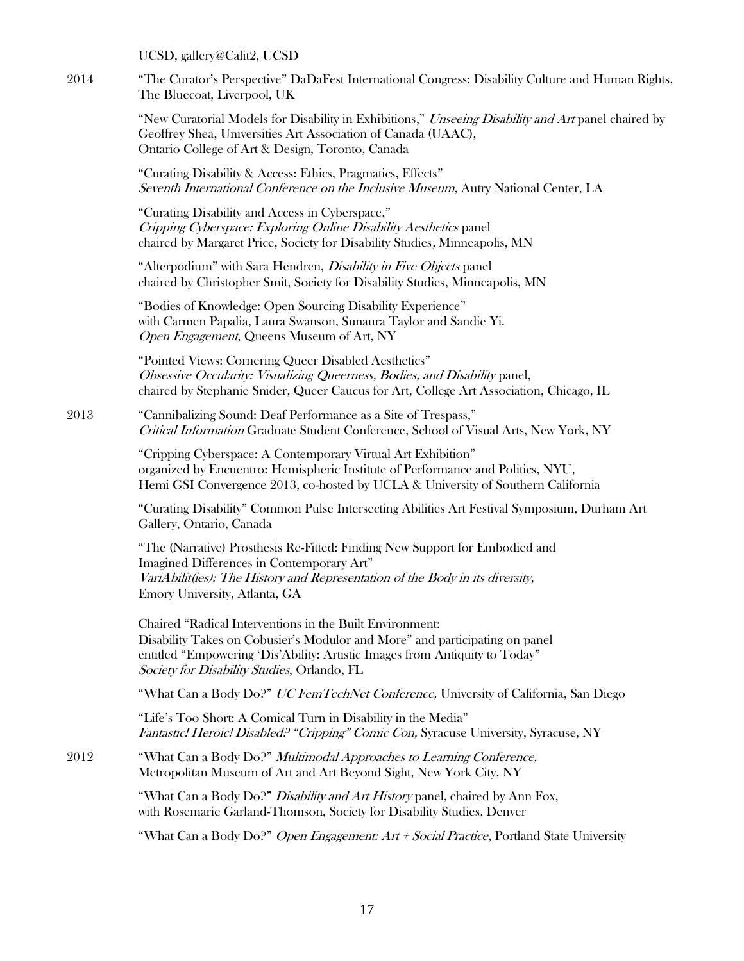UCSD, gallery@Calit2, UCSD

2014 "The Curator's Perspective" DaDaFest International Congress: Disability Culture and Human Rights, The Bluecoat, Liverpool, UK

> "New Curatorial Models for Disability in Exhibitions," Unseeing Disability and Art panel chaired by Geoffrey Shea, Universities Art Association of Canada (UAAC), Ontario College of Art & Design, Toronto, Canada

"Curating Disability & Access: Ethics, Pragmatics, Effects" Seventh International Conference on the Inclusive Museum, Autry National Center, LA

"Curating Disability and Access in Cyberspace," Cripping Cyberspace: Exploring Online Disability Aesthetics panel chaired by Margaret Price, Society for Disability Studies, Minneapolis, MN

"Alterpodium" with Sara Hendren, Disability in Five Objects panel chaired by Christopher Smit, Society for Disability Studies, Minneapolis, MN

"Bodies of Knowledge: Open Sourcing Disability Experience" with Carmen Papalia, Laura Swanson, Sunaura Taylor and Sandie Yi. Open Engagement, Queens Museum of Art, NY

"Pointed Views: Cornering Queer Disabled Aesthetics" Obsessive Occularity: Visualizing Queerness, Bodies, and Disability panel, chaired by Stephanie Snider, Queer Caucus for Art, College Art Association, Chicago, IL

2013 "Cannibalizing Sound: Deaf Performance as a Site of Trespass," Critical Information Graduate Student Conference, School of Visual Arts, New York, NY

> "Cripping Cyberspace: A Contemporary Virtual Art Exhibition" organized by Encuentro: Hemispheric Institute of Performance and Politics, NYU, Hemi GSI Convergence 2013, co-hosted by UCLA & University of Southern California

"Curating Disability" Common Pulse Intersecting Abilities Art Festival Symposium, Durham Art Gallery, Ontario, Canada

"The (Narrative) Prosthesis Re-Fitted: Finding New Support for Embodied and Imagined Differences in Contemporary Art" VariAbilit(ies): The History and Representation of the Body in its diversity, Emory University, Atlanta, GA

Chaired "Radical Interventions in the Built Environment: Disability Takes on Cobusier's Modulor and More" and participating on panel entitled "Empowering 'Dis'Ability: Artistic Images from Antiquity to Today" Society for Disability Studies, Orlando, FL

"What Can a Body Do?" UC FemTechNet Conference, University of California, San Diego

"Life's Too Short: A Comical Turn in Disability in the Media" Fantastic! Heroic! Disabled? "Cripping" Comic Con, Syracuse University, Syracuse, NY

2012 "What Can a Body Do?" *Multimodal Approaches to Learning Conference*, Metropolitan Museum of Art and Art Beyond Sight, New York City, NY

> "What Can a Body Do?" *Disability and Art History* panel, chaired by Ann Fox, with Rosemarie Garland-Thomson, Society for Disability Studies, Denver

"What Can a Body Do?" *Open Engagement: Art + Social Practice*, Portland State University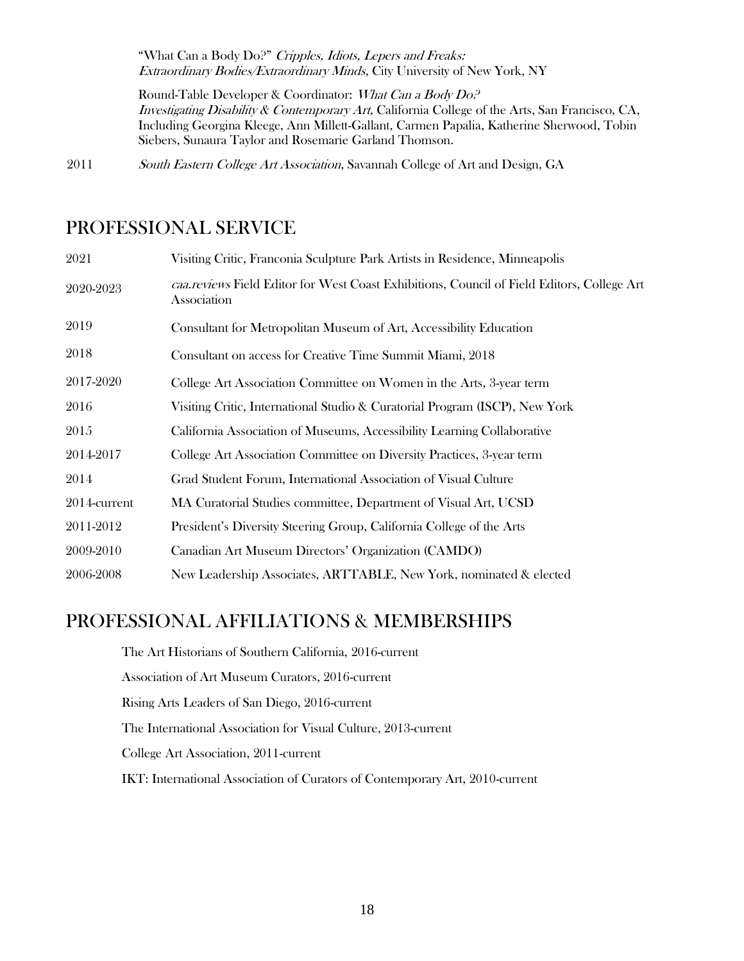"What Can a Body Do?" Cripples, Idiots, Lepers and Freaks: Extraordinary Bodies/Extraordinary Minds, City University of New York, NY

Round-Table Developer & Coordinator: What Can a Body Do? Investigating Disability & Contemporary Art, California College of the Arts, San Francisco, CA, Including Georgina Kleege, Ann Millett-Gallant, Carmen Papalia, Katherine Sherwood, Tobin Siebers, Sunaura Taylor and Rosemarie Garland Thomson.

2011 South Eastern College Art Association, Savannah College of Art and Design, GA

### PROFESSIONAL SERVICE

| 2021         | Visiting Critic, Franconia Sculpture Park Artists in Residence, Minneapolis                               |
|--------------|-----------------------------------------------------------------------------------------------------------|
| 2020-2023    | caa.reviews Field Editor for West Coast Exhibitions, Council of Field Editors, College Art<br>Association |
| 2019         | Consultant for Metropolitan Museum of Art, Accessibility Education                                        |
| 2018         | Consultant on access for Creative Time Summit Miami, 2018                                                 |
| 2017-2020    | College Art Association Committee on Women in the Arts, 3-year term                                       |
| 2016         | Visiting Critic, International Studio & Curatorial Program (ISCP), New York                               |
| 2015         | California Association of Museums, Accessibility Learning Collaborative                                   |
| 2014-2017    | College Art Association Committee on Diversity Practices, 3-year term                                     |
| 2014         | Grad Student Forum, International Association of Visual Culture                                           |
| 2014-current | MA Curatorial Studies committee, Department of Visual Art, UCSD                                           |
| 2011-2012    | President's Diversity Steering Group, California College of the Arts                                      |
| 2009-2010    | Canadian Art Museum Directors' Organization (CAMDO)                                                       |
| 2006-2008    | New Leadership Associates, ARTTABLE, New York, nominated & elected                                        |

## PROFESSIONAL AFFILIATIONS & MEMBERSHIPS

The Art Historians of Southern California, 2016-current Association of Art Museum Curators, 2016-current Rising Arts Leaders of San Diego, 2016-current The International Association for Visual Culture, 2013-current College Art Association, 2011-current IKT: International Association of Curators of Contemporary Art, 2010-current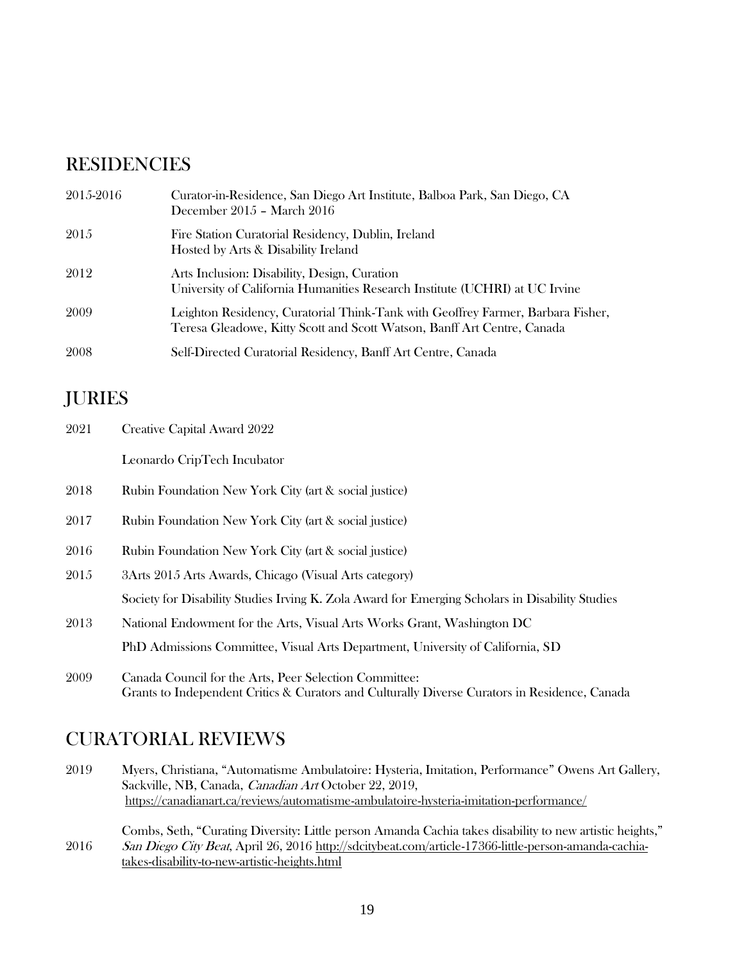## **RESIDENCIES**

| 2015-2016 | Curator-in-Residence, San Diego Art Institute, Balboa Park, San Diego, CA<br>December 2015 - March 2016                                                    |
|-----------|------------------------------------------------------------------------------------------------------------------------------------------------------------|
| 2015      | Fire Station Curatorial Residency, Dublin, Ireland<br>Hosted by Arts & Disability Ireland                                                                  |
| 2012      | Arts Inclusion: Disability, Design, Curation<br>University of California Humanities Research Institute (UCHRI) at UC Irvine                                |
| 2009      | Leighton Residency, Curatorial Think-Tank with Geoffrey Farmer, Barbara Fisher,<br>Teresa Gleadowe, Kitty Scott and Scott Watson, Banff Art Centre, Canada |
| 2008      | Self-Directed Curatorial Residency, Banff Art Centre, Canada                                                                                               |

## JURIES

| 2021 | Creative Capital Award 2022                                                                                                                             |
|------|---------------------------------------------------------------------------------------------------------------------------------------------------------|
|      | Leonardo CripTech Incubator                                                                                                                             |
| 2018 | Rubin Foundation New York City (art & social justice)                                                                                                   |
| 2017 | Rubin Foundation New York City (art & social justice)                                                                                                   |
| 2016 | Rubin Foundation New York City (art & social justice)                                                                                                   |
| 2015 | 3Arts 2015 Arts Awards, Chicago (Visual Arts category)                                                                                                  |
|      | Society for Disability Studies Irving K. Zola Award for Emerging Scholars in Disability Studies                                                         |
| 2013 | National Endowment for the Arts, Visual Arts Works Grant, Washington DC                                                                                 |
|      | PhD Admissions Committee, Visual Arts Department, University of California, SD                                                                          |
| 2009 | Canada Council for the Arts, Peer Selection Committee:<br>Grants to Independent Critics & Curators and Culturally Diverse Curators in Residence, Canada |

## CURATORIAL REVIEWS

2019 Myers, Christiana, "Automatisme Ambulatoire: Hysteria, Imitation, Performance" Owens Art Gallery, Sackville, NB, Canada, Canadian Art October 22, 2019, <https://canadianart.ca/reviews/automatisme-ambulatoire-hysteria-imitation-performance/>

2016 Combs, Seth, "Curating Diversity: Little person Amanda Cachia takes disability to new artistic heights," San Diego City Beat, April 26, 2016 [http://sdcitybeat.com/article-17366-little-person-amanda-cachia](http://sdcitybeat.com/article-17366-little-person-amanda-cachia-takes-disability-to-new-artistic-heights.html)[takes-disability-to-new-artistic-heights.html](http://sdcitybeat.com/article-17366-little-person-amanda-cachia-takes-disability-to-new-artistic-heights.html)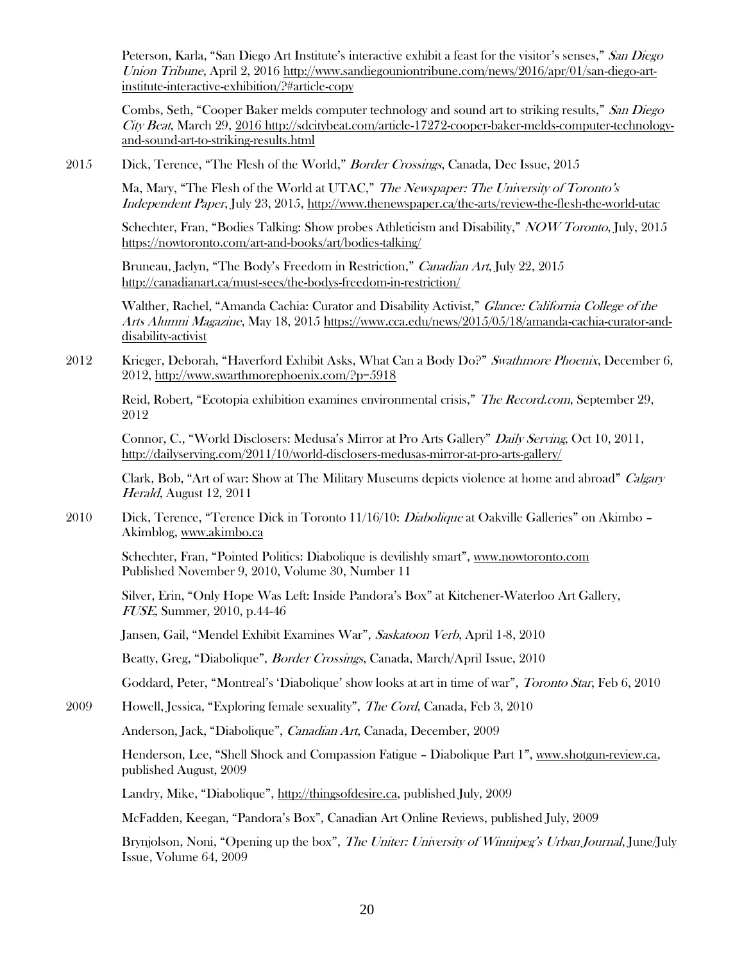Peterson, Karla, "San Diego Art Institute's interactive exhibit a feast for the visitor's senses," San Diego Union Tribune, April 2, 2016 [http://www.sandiegouniontribune.com/news/2016/apr/01/san-diego-art](http://www.sandiegouniontribune.com/news/2016/apr/01/san-diego-art-institute-interactive-exhibition/?#article-copy)[institute-interactive-exhibition/?#article-copy](http://www.sandiegouniontribune.com/news/2016/apr/01/san-diego-art-institute-interactive-exhibition/?#article-copy)

Combs, Seth, "Cooper Baker melds computer technology and sound art to striking results," San Diego City Beat, March 29, 201[6 http://sdcitybeat.com/article-17272-cooper-baker-melds-computer-technology](http://sdcitybeat.com/article-17272-cooper-baker-melds-computer-technology-and-sound-art-to-striking-results.html)[and-sound-art-to-striking-results.html](http://sdcitybeat.com/article-17272-cooper-baker-melds-computer-technology-and-sound-art-to-striking-results.html)

2015 Dick, Terence, "The Flesh of the World," Border Crossings, Canada, Dec Issue, 2015

Ma, Mary, "The Flesh of the World at UTAC," The Newspaper: The University of Toronto's Independent Paper, July 23, 2015[, http://www.thenewspaper.ca/the-arts/review-the-flesh-the-world-utac](http://www.thenewspaper.ca/the-arts/review-the-flesh-the-world-utac)

Schechter, Fran, "Bodies Talking: Show probes Athleticism and Disability," NOW Toronto, July, 2015 <https://nowtoronto.com/art-and-books/art/bodies-talking/>

Bruneau, Jaclyn, "The Body's Freedom in Restriction," Canadian Art, July 22, 2015 <http://canadianart.ca/must-sees/the-bodys-freedom-in-restriction/>

Walther, Rachel, "Amanda Cachia: Curator and Disability Activist," Glance: California College of the Arts Alumni Magazine, May 18, 2015 [https://www.cca.edu/news/2015/05/18/amanda-cachia-curator-and](https://www.cca.edu/news/2015/05/18/amanda-cachia-curator-and-disability-activist)[disability-activist](https://www.cca.edu/news/2015/05/18/amanda-cachia-curator-and-disability-activist)

2012 Krieger, Deborah, "Haverford Exhibit Asks, What Can a Body Do?" Swathmore Phoenix, December 6, 2012,<http://www.swarthmorephoenix.com/?p=5918>

Reid, Robert, "Ecotopia exhibition examines environmental crisis," The Record.com, September 29, 2012

Connor, C., "World Disclosers: Medusa's Mirror at Pro Arts Gallery" Daily Serving, Oct 10, 2011, <http://dailyserving.com/2011/10/world-disclosers-medusas-mirror-at-pro-arts-gallery/>

Clark, Bob, "Art of war: Show at The Military Museums depicts violence at home and abroad" Calgary Herald, August 12, 2011

2010 Dick, Terence, "Terence Dick in Toronto 11/16/10: *Diabolique* at Oakville Galleries" on Akimbo – Akimblog[, www.akimbo.ca](http://www.akimbo.ca/)

Schechter, Fran, "Pointed Politics: Diabolique is devilishly smart", [www.nowtoronto.com](http://www.nowtoronto.com/) Published November 9, 2010, Volume 30, Number 11

Silver, Erin, "Only Hope Was Left: Inside Pandora's Box" at Kitchener-Waterloo Art Gallery, FUSE, Summer, 2010, p.44-46

Jansen, Gail, "Mendel Exhibit Examines War", Saskatoon Verb, April 1-8, 2010

Beatty, Greg, "Diabolique", Border Crossings, Canada, March/April Issue, 2010

Goddard, Peter, "Montreal's 'Diabolique' show looks at art in time of war", Toronto Star, Feb 6, 2010

2009 Howell, Jessica, "Exploring female sexuality", The Cord, Canada, Feb 3, 2010

Anderson, Jack, "Diabolique", Canadian Art, Canada, December, 2009

Henderson, Lee, "Shell Shock and Compassion Fatigue – Diabolique Part 1", [www.shotgun-review.ca,](http://www.shotgun-review.ca/) published August, 2009

Landry, Mike, "Diabolique", [http://thingsofdesire.ca,](http://thingsofdesire.ca/) published July, 2009

McFadden, Keegan, "Pandora's Box", Canadian Art Online Reviews, published July, 2009

Brynjolson, Noni, "Opening up the box", The Uniter: University of Winnipeg's Urban Journal, June/July Issue, Volume 64, 2009